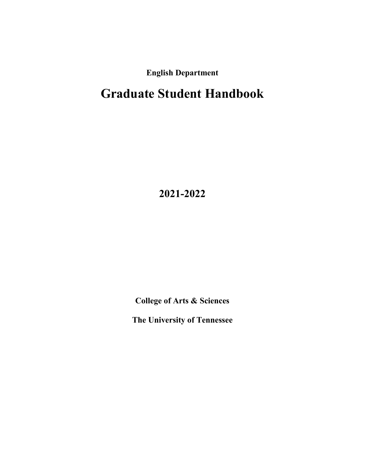**English Department**

# **Graduate Student Handbook**

**2021-2022**

**College of Arts & Sciences**

**The University of Tennessee**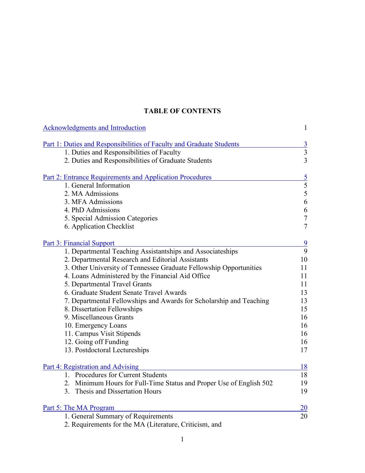### **TABLE OF CONTENTS**

| Acknowledgments and Introduction                                     | $\mathbf{1}$                |
|----------------------------------------------------------------------|-----------------------------|
| Part 1: Duties and Responsibilities of Faculty and Graduate Students | $\overline{3}$              |
| 1. Duties and Responsibilities of Faculty                            | $\overline{3}$              |
| 2. Duties and Responsibilities of Graduate Students                  | $\overline{3}$              |
| <b>Part 2: Entrance Requirements and Application Procedures</b>      |                             |
| 1. General Information                                               | $\frac{5}{5}$ $\frac{5}{6}$ |
| 2. MA Admissions                                                     |                             |
| 3. MFA Admissions                                                    |                             |
| 4. PhD Admissions                                                    | 6                           |
| 5. Special Admission Categories                                      | $\overline{7}$              |
| 6. Application Checklist                                             | $\overline{7}$              |
| <b>Part 3: Financial Support</b>                                     | 9                           |
| 1. Departmental Teaching Assistantships and Associateships           | 9                           |
| 2. Departmental Research and Editorial Assistants                    | 10                          |
| 3. Other University of Tennessee Graduate Fellowship Opportunities   | 11                          |
| 4. Loans Administered by the Financial Aid Office                    | 11                          |
| 5. Departmental Travel Grants                                        | 11                          |
| 6. Graduate Student Senate Travel Awards                             | 13                          |
| 7. Departmental Fellowships and Awards for Scholarship and Teaching  | 13                          |
| 8. Dissertation Fellowships                                          | 15                          |
| 9. Miscellaneous Grants                                              | 16                          |
| 10. Emergency Loans                                                  | 16                          |
| 11. Campus Visit Stipends                                            | 16                          |
| 12. Going off Funding                                                | 16                          |
| 13. Postdoctoral Lectureships                                        | 17                          |
| Part 4: Registration and Advising                                    | <u>18</u>                   |
| 1. Procedures for Current Students                                   | 18                          |
| 2. Minimum Hours for Full-Time Status and Proper Use of English 502  | 19                          |
| 3. Thesis and Dissertation Hours                                     | 19                          |
| Part 5: The MA Program                                               | 20                          |
| 1. General Summary of Requirements                                   | 20                          |
| 2. Requirements for the MA (Literature, Criticism, and               |                             |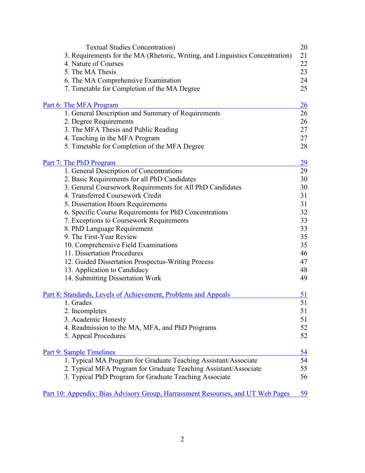| <b>Textual Studies Concentration</b> )                                          | 20        |
|---------------------------------------------------------------------------------|-----------|
| 3. Requirements for the MA (Rhetoric, Writing, and Linguistics Concentration)   | 21        |
| 4. Nature of Courses                                                            | 22        |
| 5. The MA Thesis                                                                | 23        |
| 6. The MA Comprehensive Examination                                             | 24        |
| 7. Timetable for Completion of the MA Degree                                    | 25        |
|                                                                                 |           |
| Part 6: The MFA Program                                                         | 26        |
| 1. General Description and Summary of Requirements                              | 26        |
| 2. Degree Requirements                                                          | 26        |
| 3. The MFA Thesis and Public Reading                                            | 27        |
| 4. Teaching in the MFA Program                                                  | 27        |
| 5. Timetable for Completion of the MFA Degree                                   | 28        |
|                                                                                 |           |
| <u>Part 7: The PhD Program</u>                                                  | 29        |
| 1. General Description of Concentrations                                        | 29        |
| 2. Basic Requirements for all PhD Candidates                                    | 30        |
| 3. General Coursework Requirements for All PhD Candidates                       | 30        |
| 4. Transferred Coursework Credit                                                | 31        |
| 5. Dissertation Hours Requirements                                              | 31        |
| 6. Specific Course Requirements for PhD Concentrations                          | 32        |
| 7. Exceptions to Coursework Requirements                                        | 33        |
| 8. PhD Language Requirement                                                     | 33        |
| 9. The First-Year Review                                                        | 35        |
| 10. Comprehensive Field Examinations                                            | 35        |
| 11. Dissertation Procedures                                                     | 46        |
| 12. Guided Dissertation Prospectus-Writing Process                              | 47        |
| 13. Application to Candidacy                                                    | 48        |
| 14. Submitting Dissertation Work                                                | 49        |
|                                                                                 |           |
| Part 8: Standards, Levels of Achievement, Problems and Appeals                  | <u>51</u> |
| 1. Grades                                                                       | 51        |
| 2. Incompletes                                                                  | 51        |
| 3. Academic Honesty                                                             | 51        |
| 4. Readmission to the MA, MFA, and PhD Programs                                 | 52        |
| 5. Appeal Procedures                                                            | 52        |
|                                                                                 |           |
| Part 9: Sample Timelines                                                        | <u>54</u> |
| 1. Typical MA Program for Graduate Teaching Assistant/Associate                 | 54        |
| 2. Typical MFA Program for Graduate Teaching Assistant/Associate                | 55        |
| 3. Typical PhD Program for Graduate Teaching Associate                          | 56        |
|                                                                                 |           |
| Part 10: Appendix: Bias Advisory Group, Harrassment Resourses, and UT Web Pages | 59        |

2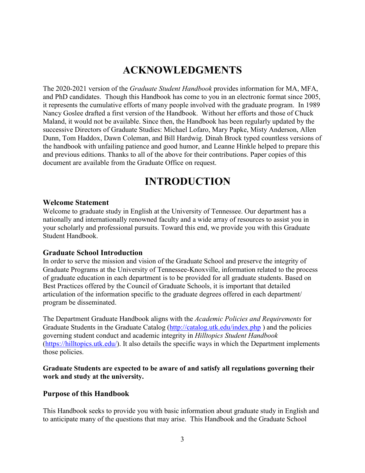## **ACKNOWLEDGMENTS**

<span id="page-3-0"></span>The 2020-2021 version of the *Graduate Student Handbook* provides information for MA, MFA, and PhD candidates. Though this Handbook has come to you in an electronic format since 2005, it represents the cumulative efforts of many people involved with the graduate program. In 1989 Nancy Goslee drafted a first version of the Handbook. Without her efforts and those of Chuck Maland, it would not be available. Since then, the Handbook has been regularly updated by the successive Directors of Graduate Studies: Michael Lofaro, Mary Papke, Misty Anderson, Allen Dunn, Tom Haddox, Dawn Coleman, and Bill Hardwig. Dinah Brock typed countless versions of the handbook with unfailing patience and good humor, and Leanne Hinkle helped to prepare this and previous editions. Thanks to all of the above for their contributions. Paper copies of this document are available from the Graduate Office on request.

## **INTRODUCTION**

#### **Welcome Statement**

Welcome to graduate study in English at the University of Tennessee. Our department has a nationally and internationally renowned faculty and a wide array of resources to assist you in your scholarly and professional pursuits. Toward this end, we provide you with this Graduate Student Handbook.

#### **Graduate School Introduction**

In order to serve the mission and vision of the Graduate School and preserve the integrity of Graduate Programs at the University of Tennessee-Knoxville, information related to the process of graduate education in each department is to be provided for all graduate students. Based on Best Practices offered by the Council of Graduate Schools, it is important that detailed articulation of the information specific to the graduate degrees offered in each department/ program be disseminated.

The Department Graduate Handbook aligns with the *Academic Policies and Requirements* for Graduate Students in the Graduate Catalog [\(http://catalog.utk.edu/index.php](http://catalog.utk.edu/index.php) ) and the policies governing student conduct and academic integrity in *Hilltopics Student Handbook*  [\(https://hilltopics.utk.edu/\)](https://hilltopics.utk.edu/). It also details the specific ways in which the Department implements those policies.

#### **Graduate Students are expected to be aware of and satisfy all regulations governing their work and study at the university.**

#### **Purpose of this Handbook**

This Handbook seeks to provide you with basic information about graduate study in English and to anticipate many of the questions that may arise. This Handbook and the Graduate School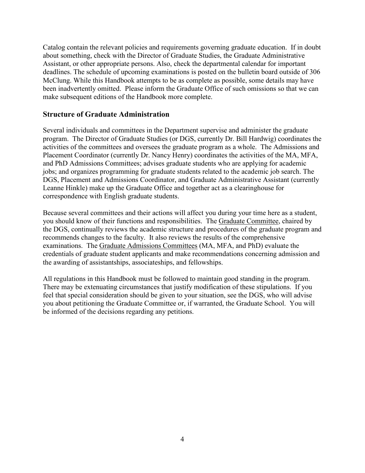Catalog contain the relevant policies and requirements governing graduate education. If in doubt about something, check with the Director of Graduate Studies, the Graduate Administrative Assistant, or other appropriate persons. Also, check the departmental calendar for important deadlines. The schedule of upcoming examinations is posted on the bulletin board outside of 306 McClung. While this Handbook attempts to be as complete as possible, some details may have been inadvertently omitted. Please inform the Graduate Office of such omissions so that we can make subsequent editions of the Handbook more complete.

#### **Structure of Graduate Administration**

Several individuals and committees in the Department supervise and administer the graduate program. The Director of Graduate Studies (or DGS, currently Dr. Bill Hardwig) coordinates the activities of the committees and oversees the graduate program as a whole. The Admissions and Placement Coordinator (currently Dr. Nancy Henry) coordinates the activities of the MA, MFA, and PhD Admissions Committees; advises graduate students who are applying for academic jobs; and organizes programming for graduate students related to the academic job search. The DGS, Placement and Admissions Coordinator, and Graduate Administrative Assistant (currently Leanne Hinkle) make up the Graduate Office and together act as a clearinghouse for correspondence with English graduate students.

Because several committees and their actions will affect you during your time here as a student, you should know of their functions and responsibilities. The Graduate Committee, chaired by the DGS, continually reviews the academic structure and procedures of the graduate program and recommends changes to the faculty. It also reviews the results of the comprehensive examinations. The Graduate Admissions Committees (MA, MFA, and PhD) evaluate the credentials of graduate student applicants and make recommendations concerning admission and the awarding of assistantships, associateships, and fellowships.

All regulations in this Handbook must be followed to maintain good standing in the program. There may be extenuating circumstances that justify modification of these stipulations. If you feel that special consideration should be given to your situation, see the DGS, who will advise you about petitioning the Graduate Committee or, if warranted, the Graduate School. You will be informed of the decisions regarding any petitions.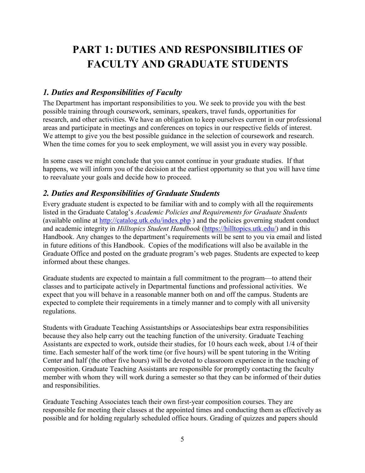# <span id="page-5-0"></span>**PART 1: DUTIES AND RESPONSIBILITIES OF FACULTY AND GRADUATE STUDENTS**

### *1. Duties and Responsibilities of Faculty*

The Department has important responsibilities to you. We seek to provide you with the best possible training through coursework, seminars, speakers, travel funds, opportunities for research, and other activities. We have an obligation to keep ourselves current in our professional areas and participate in meetings and conferences on topics in our respective fields of interest. We attempt to give you the best possible guidance in the selection of coursework and research. When the time comes for you to seek employment, we will assist you in every way possible.

In some cases we might conclude that you cannot continue in your graduate studies. If that happens, we will inform you of the decision at the earliest opportunity so that you will have time to reevaluate your goals and decide how to proceed.

### *2. Duties and Responsibilities of Graduate Students*

Every graduate student is expected to be familiar with and to comply with all the requirements listed in the Graduate Catalog's *Academic Policies and Requirements for Graduate Students*  (available online at <http://catalog.utk.edu/index.php> ) and the policies governing student conduct and academic integrity in *Hilltopics Student Handbook* [\(https://hilltopics.utk.edu/\)](https://hilltopics.utk.edu/) and in this Handbook. Any changes to the department's requirements will be sent to you via email and listed in future editions of this Handbook. Copies of the modifications will also be available in the Graduate Office and posted on the graduate program's web pages. Students are expected to keep informed about these changes.

Graduate students are expected to maintain a full commitment to the program—to attend their classes and to participate actively in Departmental functions and professional activities. We expect that you will behave in a reasonable manner both on and off the campus. Students are expected to complete their requirements in a timely manner and to comply with all university regulations.

Students with Graduate Teaching Assistantships or Associateships bear extra responsibilities because they also help carry out the teaching function of the university. Graduate Teaching Assistants are expected to work, outside their studies, for 10 hours each week, about 1/4 of their time. Each semester half of the work time (or five hours) will be spent tutoring in the Writing Center and half (the other five hours) will be devoted to classroom experience in the teaching of composition. Graduate Teaching Assistants are responsible for promptly contacting the faculty member with whom they will work during a semester so that they can be informed of their duties and responsibilities.

Graduate Teaching Associates teach their own first-year composition courses. They are responsible for meeting their classes at the appointed times and conducting them as effectively as possible and for holding regularly scheduled office hours. Grading of quizzes and papers should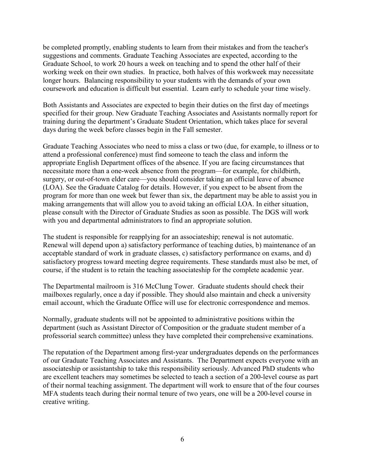be completed promptly, enabling students to learn from their mistakes and from the teacher's suggestions and comments. Graduate Teaching Associates are expected, according to the Graduate School, to work 20 hours a week on teaching and to spend the other half of their working week on their own studies. In practice, both halves of this workweek may necessitate longer hours. Balancing responsibility to your students with the demands of your own coursework and education is difficult but essential. Learn early to schedule your time wisely.

Both Assistants and Associates are expected to begin their duties on the first day of meetings specified for their group. New Graduate Teaching Associates and Assistants normally report for training during the department's Graduate Student Orientation, which takes place for several days during the week before classes begin in the Fall semester.

Graduate Teaching Associates who need to miss a class or two (due, for example, to illness or to attend a professional conference) must find someone to teach the class and inform the appropriate English Department offices of the absence. If you are facing circumstances that necessitate more than a one-week absence from the program—for example, for childbirth, surgery, or out-of-town elder care—you should consider taking an official leave of absence (LOA). See the Graduate Catalog for details. However, if you expect to be absent from the program for more than one week but fewer than six, the department may be able to assist you in making arrangements that will allow you to avoid taking an official LOA. In either situation, please consult with the Director of Graduate Studies as soon as possible. The DGS will work with you and departmental administrators to find an appropriate solution.

The student is responsible for reapplying for an associateship; renewal is not automatic. Renewal will depend upon a) satisfactory performance of teaching duties, b) maintenance of an acceptable standard of work in graduate classes, c) satisfactory performance on exams, and d) satisfactory progress toward meeting degree requirements. These standards must also be met, of course, if the student is to retain the teaching associateship for the complete academic year.

The Departmental mailroom is 316 McClung Tower. Graduate students should check their mailboxes regularly, once a day if possible. They should also maintain and check a university email account, which the Graduate Office will use for electronic correspondence and memos.

Normally, graduate students will not be appointed to administrative positions within the department (such as Assistant Director of Composition or the graduate student member of a professorial search committee) unless they have completed their comprehensive examinations.

The reputation of the Department among first-year undergraduates depends on the performances of our Graduate Teaching Associates and Assistants. The Department expects everyone with an associateship or assistantship to take this responsibility seriously. Advanced PhD students who are excellent teachers may sometimes be selected to teach a section of a 200-level course as part of their normal teaching assignment. The department will work to ensure that of the four courses MFA students teach during their normal tenure of two years, one will be a 200-level course in creative writing.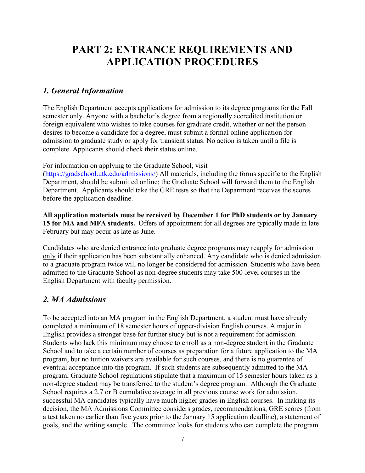## <span id="page-7-0"></span>**PART 2: ENTRANCE REQUIREMENTS AND APPLICATION PROCEDURES**

#### *1. General Information*

The English Department accepts applications for admission to its degree programs for the Fall semester only. Anyone with a bachelor's degree from a regionally accredited institution or foreign equivalent who wishes to take courses for graduate credit, whether or not the person desires to become a candidate for a degree, must submit a formal online application for admission to graduate study or apply for transient status. No action is taken until a file is complete. Applicants should check their status online.

For information on applying to the Graduate School, visit

[\(https://gradschool.utk.edu/admissions/\)](https://gradschool.utk.edu/admissions/) All materials, including the forms specific to the English Department, should be submitted online; the Graduate School will forward them to the English Department. Applicants should take the GRE tests so that the Department receives the scores before the application deadline.

**All application materials must be received by December 1 for PhD students or by January 15 for MA and MFA students.** Offers of appointment for all degrees are typically made in late February but may occur as late as June.

Candidates who are denied entrance into graduate degree programs may reapply for admission only if their application has been substantially enhanced. Any candidate who is denied admission to a graduate program twice will no longer be considered for admission. Students who have been admitted to the Graduate School as non-degree students may take 500-level courses in the English Department with faculty permission.

#### *2. MA Admissions*

To be accepted into an MA program in the English Department, a student must have already completed a minimum of 18 semester hours of upper-division English courses. A major in English provides a stronger base for further study but is not a requirement for admission. Students who lack this minimum may choose to enroll as a non-degree student in the Graduate School and to take a certain number of courses as preparation for a future application to the MA program, but no tuition waivers are available for such courses, and there is no guarantee of eventual acceptance into the program. If such students are subsequently admitted to the MA program, Graduate School regulations stipulate that a maximum of 15 semester hours taken as a non-degree student may be transferred to the student's degree program. Although the Graduate School requires a 2.7 or B cumulative average in all previous course work for admission, successful MA candidates typically have much higher grades in English courses. In making its decision, the MA Admissions Committee considers grades, recommendations, GRE scores (from a test taken no earlier than five years prior to the January 15 application deadline), a statement of goals, and the writing sample. The committee looks for students who can complete the program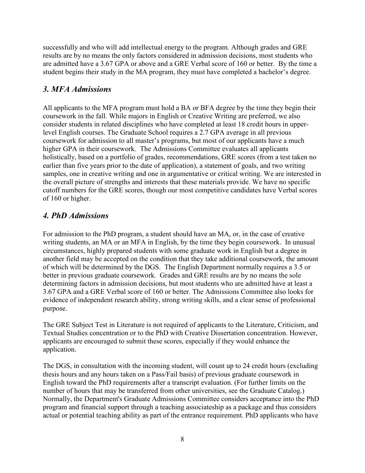successfully and who will add intellectual energy to the program. Although grades and GRE results are by no means the only factors considered in admission decisions, most students who are admitted have a 3.67 GPA or above and a GRE Verbal score of 160 or better. By the time a student begins their study in the MA program, they must have completed a bachelor's degree.

### *3. MFA Admissions*

All applicants to the MFA program must hold a BA or BFA degree by the time they begin their coursework in the fall. While majors in English or Creative Writing are preferred, we also consider students in related disciplines who have completed at least 18 credit hours in upperlevel English courses. The Graduate School requires a 2.7 GPA average in all previous coursework for admission to all master's programs, but most of our applicants have a much higher GPA in their coursework. The Admissions Committee evaluates all applicants holistically, based on a portfolio of grades, recommendations, GRE scores (from a test taken no earlier than five years prior to the date of application), a statement of goals, and two writing samples, one in creative writing and one in argumentative or critical writing. We are interested in the overall picture of strengths and interests that these materials provide. We have no specific cutoff numbers for the GRE scores, though our most competitive candidates have Verbal scores of 160 or higher.

## *4. PhD Admissions*

For admission to the PhD program, a student should have an MA, or, in the case of creative writing students, an MA or an MFA in English, by the time they begin coursework. In unusual circumstances, highly prepared students with some graduate work in English but a degree in another field may be accepted on the condition that they take additional coursework, the amount of which will be determined by the DGS. The English Department normally requires a 3.5 or better in previous graduate coursework. Grades and GRE results are by no means the sole determining factors in admission decisions, but most students who are admitted have at least a 3.67 GPA and a GRE Verbal score of 160 or better. The Admissions Committee also looks for evidence of independent research ability, strong writing skills, and a clear sense of professional purpose.

The GRE Subject Test in Literature is not required of applicants to the Literature, Criticism, and Textual Studies concentration or to the PhD with Creative Dissertation concentration. However, applicants are encouraged to submit these scores, especially if they would enhance the application.

The DGS, in consultation with the incoming student, will count up to 24 credit hours (excluding thesis hours and any hours taken on a Pass/Fail basis) of previous graduate coursework in English toward the PhD requirements after a transcript evaluation. (For further limits on the number of hours that may be transferred from other universities, see the Graduate Catalog.) Normally, the Department's Graduate Admissions Committee considers acceptance into the PhD program and financial support through a teaching associateship as a package and thus considers actual or potential teaching ability as part of the entrance requirement. PhD applicants who have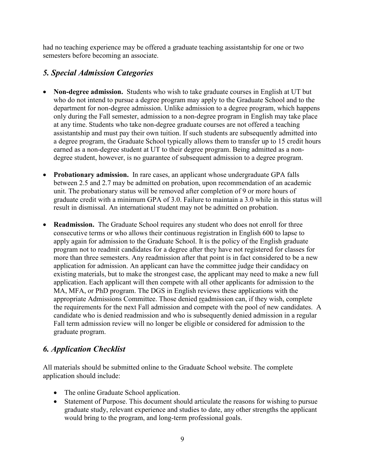had no teaching experience may be offered a graduate teaching assistantship for one or two semesters before becoming an associate.

### *5. Special Admission Categories*

- **Non-degree admission.** Students who wish to take graduate courses in English at UT but who do not intend to pursue a degree program may apply to the Graduate School and to the department for non-degree admission. Unlike admission to a degree program, which happens only during the Fall semester, admission to a non-degree program in English may take place at any time. Students who take non-degree graduate courses are not offered a teaching assistantship and must pay their own tuition. If such students are subsequently admitted into a degree program, the Graduate School typically allows them to transfer up to 15 credit hours earned as a non-degree student at UT to their degree program. Being admitted as a nondegree student, however, is no guarantee of subsequent admission to a degree program.
- **Probationary admission.** In rare cases, an applicant whose undergraduate GPA falls between 2.5 and 2.7 may be admitted on probation, upon recommendation of an academic unit. The probationary status will be removed after completion of 9 or more hours of graduate credit with a minimum GPA of 3.0. Failure to maintain a 3.0 while in this status will result in dismissal. An international student may not be admitted on probation.
- **Readmission.** The Graduate School requires any student who does not enroll for three consecutive terms or who allows their continuous registration in English 600 to lapse to apply again for admission to the Graduate School. It is the policy of the English graduate program not to readmit candidates for a degree after they have not registered for classes for more than three semesters. Any readmission after that point is in fact considered to be a new application for admission. An applicant can have the committee judge their candidacy on existing materials, but to make the strongest case, the applicant may need to make a new full application. Each applicant will then compete with all other applicants for admission to the MA, MFA, or PhD program. The DGS in English reviews these applications with the appropriate Admissions Committee. Those denied readmission can, if they wish, complete the requirements for the next Fall admission and compete with the pool of new candidates. A candidate who is denied readmission and who is subsequently denied admission in a regular Fall term admission review will no longer be eligible or considered for admission to the graduate program.

## *6. Application Checklist*

All materials should be submitted online to the Graduate School website. The complete application should include:

- The online Graduate School application.
- Statement of Purpose. This document should articulate the reasons for wishing to pursue graduate study, relevant experience and studies to date, any other strengths the applicant would bring to the program, and long-term professional goals.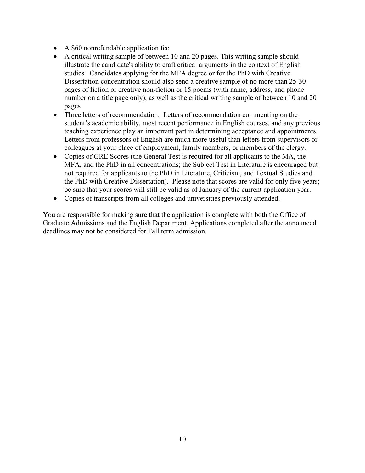- A \$60 nonrefundable application fee.
- A critical writing sample of between 10 and 20 pages. This writing sample should illustrate the candidate's ability to craft critical arguments in the context of English studies. Candidates applying for the MFA degree or for the PhD with Creative Dissertation concentration should also send a creative sample of no more than 25-30 pages of fiction or creative non-fiction or 15 poems (with name, address, and phone number on a title page only), as well as the critical writing sample of between 10 and 20 pages.
- Three letters of recommendation. Letters of recommendation commenting on the student's academic ability, most recent performance in English courses, and any previous teaching experience play an important part in determining acceptance and appointments. Letters from professors of English are much more useful than letters from supervisors or colleagues at your place of employment, family members, or members of the clergy.
- Copies of GRE Scores (the General Test is required for all applicants to the MA, the MFA, and the PhD in all concentrations; the Subject Test in Literature is encouraged but not required for applicants to the PhD in Literature, Criticism, and Textual Studies and the PhD with Creative Dissertation). Please note that scores are valid for only five years; be sure that your scores will still be valid as of January of the current application year.
- Copies of transcripts from all colleges and universities previously attended.

You are responsible for making sure that the application is complete with both the Office of Graduate Admissions and the English Department. Applications completed after the announced deadlines may not be considered for Fall term admission.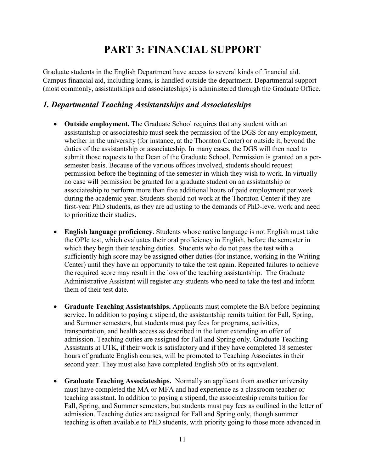# **PART 3: FINANCIAL SUPPORT**

<span id="page-11-0"></span>Graduate students in the English Department have access to several kinds of financial aid. Campus financial aid, including loans, is handled outside the department. Departmental support (most commonly, assistantships and associateships) is administered through the Graduate Office.

#### *1. Departmental Teaching Assistantships and Associateships*

- **Outside employment.** The Graduate School requires that any student with an assistantship or associateship must seek the permission of the DGS for any employment, whether in the university (for instance, at the Thornton Center) or outside it, beyond the duties of the assistantship or associateship. In many cases, the DGS will then need to submit those requests to the Dean of the Graduate School. Permission is granted on a persemester basis. Because of the various offices involved, students should request permission before the beginning of the semester in which they wish to work. In virtually no case will permission be granted for a graduate student on an assistantship or associateship to perform more than five additional hours of paid employment per week during the academic year. Students should not work at the Thornton Center if they are first-year PhD students, as they are adjusting to the demands of PhD-level work and need to prioritize their studies.
- **English language proficiency**. Students whose native language is not English must take the OPIc test, which evaluates their oral proficiency in English, before the semester in which they begin their teaching duties. Students who do not pass the test with a sufficiently high score may be assigned other duties (for instance, working in the Writing Center) until they have an opportunity to take the test again. Repeated failures to achieve the required score may result in the loss of the teaching assistantship. The Graduate Administrative Assistant will register any students who need to take the test and inform them of their test date.
- **Graduate Teaching Assistantships.** Applicants must complete the BA before beginning service. In addition to paying a stipend, the assistantship remits tuition for Fall, Spring, and Summer semesters, but students must pay fees for programs, activities, transportation, and health access as described in the letter extending an offer of admission. Teaching duties are assigned for Fall and Spring only. Graduate Teaching Assistants at UTK, if their work is satisfactory and if they have completed 18 semester hours of graduate English courses, will be promoted to Teaching Associates in their second year. They must also have completed English 505 or its equivalent.
- **Graduate Teaching Associateships.** Normally an applicant from another university must have completed the MA or MFA and had experience as a classroom teacher or teaching assistant. In addition to paying a stipend, the associateship remits tuition for Fall, Spring, and Summer semesters, but students must pay fees as outlined in the letter of admission. Teaching duties are assigned for Fall and Spring only, though summer teaching is often available to PhD students, with priority going to those more advanced in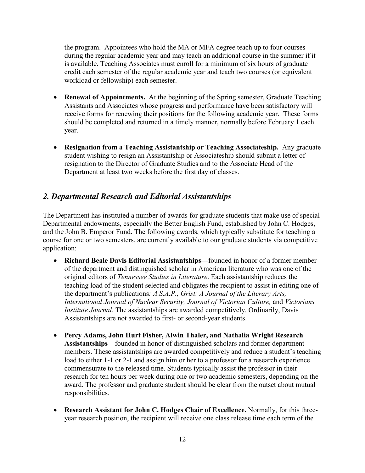the program. Appointees who hold the MA or MFA degree teach up to four courses during the regular academic year and may teach an additional course in the summer if it is available. Teaching Associates must enroll for a minimum of six hours of graduate credit each semester of the regular academic year and teach two courses (or equivalent workload or fellowship) each semester.

- **Renewal of Appointments.** At the beginning of the Spring semester, Graduate Teaching Assistants and Associates whose progress and performance have been satisfactory will receive forms for renewing their positions for the following academic year. These forms should be completed and returned in a timely manner, normally before February 1 each year.
- **Resignation from a Teaching Assistantship or Teaching Associateship.** Any graduate student wishing to resign an Assistantship or Associateship should submit a letter of resignation to the Director of Graduate Studies and to the Associate Head of the Department at least two weeks before the first day of classes.

## *2. Departmental Research and Editorial Assistantships*

The Department has instituted a number of awards for graduate students that make use of special Departmental endowments, especially the Better English Fund, established by John C. Hodges, and the John B. Emperor Fund. The following awards, which typically substitute for teaching a course for one or two semesters, are currently available to our graduate students via competitive application:

- **Richard Beale Davis Editorial Assistantships—**founded in honor of a former member of the department and distinguished scholar in American literature who was one of the original editors of *Tennessee Studies in Literature*. Each assistantship reduces the teaching load of the student selected and obligates the recipient to assist in editing one of the department's publications*: A.S.A.P., Grist: A Journal of the Literary Arts, International Journal of Nuclear Security, Journal of Victorian Culture,* and *Victorians Institute Journal*. The assistantships are awarded competitively. Ordinarily, Davis Assistantships are not awarded to first- or second-year students.
- **Percy Adams, John Hurt Fisher, Alwin Thaler, and Nathalia Wright Research Assistantships—**founded in honor of distinguished scholars and former department members. These assistantships are awarded competitively and reduce a student's teaching load to either 1-1 or 2-1 and assign him or her to a professor for a research experience commensurate to the released time. Students typically assist the professor in their research for ten hours per week during one or two academic semesters, depending on the award. The professor and graduate student should be clear from the outset about mutual responsibilities.
- **Research Assistant for John C. Hodges Chair of Excellence.** Normally, for this threeyear research position, the recipient will receive one class release time each term of the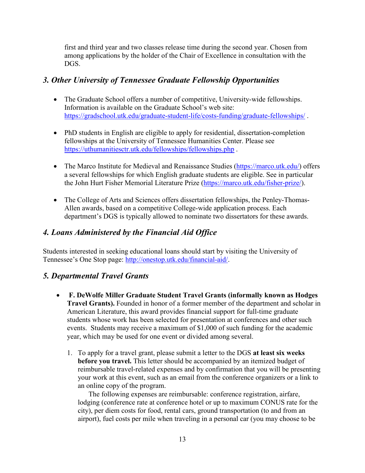first and third year and two classes release time during the second year. Chosen from among applications by the holder of the Chair of Excellence in consultation with the DGS.

## *3. Other University of Tennessee Graduate Fellowship Opportunities*

- The Graduate School offers a number of competitive, University-wide fellowships. Information is available on the Graduate School's web site: <https://gradschool.utk.edu/graduate-student-life/costs-funding/graduate-fellowships/> .
- PhD students in English are eligible to apply for residential, dissertation-completion fellowships at the University of Tennessee Humanities Center. Please see <https://uthumanitiesctr.utk.edu/fellowships/fellowships.php> .
- The Marco Institute for Medieval and Renaissance Studies [\(https://marco.utk.edu/\)](https://marco.utk.edu/) offers a several fellowships for which English graduate students are eligible. See in particular the John Hurt Fisher Memorial Literature Prize [\(https://marco.utk.edu/fisher-prize/\)](https://marco.utk.edu/fisher-prize/).
- The College of Arts and Sciences offers dissertation fellowships, the Penley-Thomas-Allen awards, based on a competitive College-wide application process. Each department's DGS is typically allowed to nominate two dissertators for these awards.

## *4. Loans Administered by the Financial Aid Office*

Students interested in seeking educational loans should start by visiting the University of Tennessee's One Stop page: [http://onestop.utk.edu/financial-aid/.](http://onestop.utk.edu/financial-aid/)

### *5. Departmental Travel Grants*

- **F. DeWolfe Miller Graduate Student Travel Grants (informally known as Hodges Travel Grants).** Founded in honor of a former member of the department and scholar in American Literature, this award provides financial support for full-time graduate students whose work has been selected for presentation at conferences and other such events. Students may receive a maximum of \$1,000 of such funding for the academic year, which may be used for one event or divided among several.
	- 1. To apply for a travel grant, please submit a letter to the DGS **at least six weeks before you travel.** This letter should be accompanied by an itemized budget of reimbursable travel-related expenses and by confirmation that you will be presenting your work at this event, such as an email from the conference organizers or a link to an online copy of the program.

 The following expenses are reimbursable: conference registration, airfare, lodging (conference rate at conference hotel or up to maximum CONUS rate for the city), per diem costs for food, rental cars, ground transportation (to and from an airport), fuel costs per mile when traveling in a personal car (you may choose to be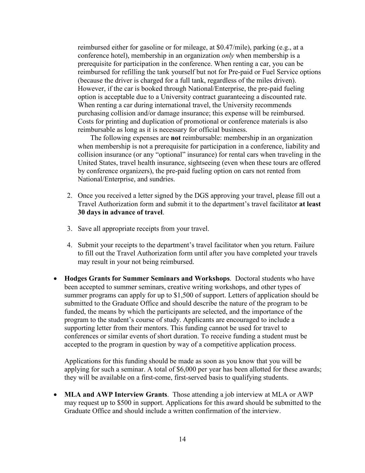reimbursed either for gasoline or for mileage, at \$0.47/mile), parking (e.g., at a conference hotel), membership in an organization *only* when membership is a prerequisite for participation in the conference. When renting a car, you can be reimbursed for refilling the tank yourself but not for Pre-paid or Fuel Service options (because the driver is charged for a full tank, regardless of the miles driven). However, if the car is booked through National/Enterprise, the pre-paid fueling option is acceptable due to a University contract guaranteeing a discounted rate. When renting a car during international travel, the University recommends purchasing collision and/or damage insurance; this expense will be reimbursed. Costs for printing and duplication of promotional or conference materials is also reimbursable as long as it is necessary for official business.

 The following expenses are **not** reimbursable: membership in an organization when membership is not a prerequisite for participation in a conference, liability and collision insurance (or any "optional" insurance) for rental cars when traveling in the United States, travel health insurance, sightseeing (even when these tours are offered by conference organizers), the pre-paid fueling option on cars not rented from National/Enterprise, and sundries.

- 2. Once you received a letter signed by the DGS approving your travel, please fill out a Travel Authorization form and submit it to the department's travel facilitator **at least 30 days in advance of travel**.
- 3. Save all appropriate receipts from your travel.
- 4. Submit your receipts to the department's travel facilitator when you return. Failure to fill out the Travel Authorization form until after you have completed your travels may result in your not being reimbursed.
- **Hodges Grants for Summer Seminars and Workshops**. Doctoral students who have been accepted to summer seminars, creative writing workshops, and other types of summer programs can apply for up to \$1,500 of support. Letters of application should be submitted to the Graduate Office and should describe the nature of the program to be funded, the means by which the participants are selected, and the importance of the program to the student's course of study. Applicants are encouraged to include a supporting letter from their mentors. This funding cannot be used for travel to conferences or similar events of short duration. To receive funding a student must be accepted to the program in question by way of a competitive application process.

Applications for this funding should be made as soon as you know that you will be applying for such a seminar. A total of \$6,000 per year has been allotted for these awards; they will be available on a first-come, first-served basis to qualifying students.

• **MLA and AWP Interview Grants**. Those attending a job interview at MLA or AWP may request up to \$500 in support. Applications for this award should be submitted to the Graduate Office and should include a written confirmation of the interview.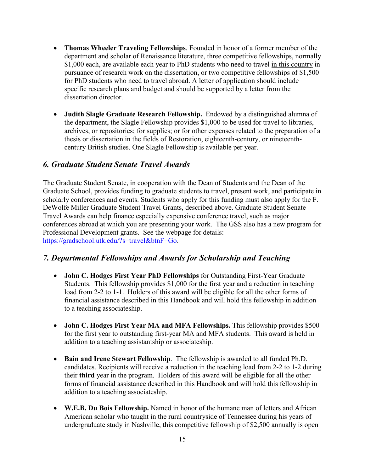- **Thomas Wheeler Traveling Fellowships**. Founded in honor of a former member of the department and scholar of Renaissance literature, three competitive fellowships, normally \$1,000 each, are available each year to PhD students who need to travel in this country in pursuance of research work on the dissertation, or two competitive fellowships of \$1,500 for PhD students who need to travel abroad. A letter of application should include specific research plans and budget and should be supported by a letter from the dissertation director.
- **Judith Slagle Graduate Research Fellowship.** Endowed by a distinguished alumna of the department, the Slagle Fellowship provides \$1,000 to be used for travel to libraries, archives, or repositories; for supplies; or for other expenses related to the preparation of a thesis or dissertation in the fields of Restoration, eighteenth-century, or nineteenthcentury British studies. One Slagle Fellowship is available per year.

#### *6. Graduate Student Senate Travel Awards*

The Graduate Student Senate, in cooperation with the Dean of Students and the Dean of the Graduate School, provides funding to graduate students to travel, present work, and participate in scholarly conferences and events. Students who apply for this funding must also apply for the F. DeWolfe Miller Graduate Student Travel Grants, described above. Graduate Student Senate Travel Awards can help finance especially expensive conference travel, such as major conferences abroad at which you are presenting your work. The GSS also has a new program for Professional Development grants. See the webpage for details: [https://gradschool.utk.edu/?s=travel&btnF=Go.](https://gradschool.utk.edu/?s=travel&btnF=Go)

#### *7. Departmental Fellowships and Awards for Scholarship and Teaching*

- **John C. Hodges First Year PhD Fellowships** for Outstanding First-Year Graduate Students. This fellowship provides \$1,000 for the first year and a reduction in teaching load from 2-2 to 1-1. Holders of this award will be eligible for all the other forms of financial assistance described in this Handbook and will hold this fellowship in addition to a teaching associateship.
- **John C. Hodges First Year MA and MFA Fellowships.** This fellowship provides \$500 for the first year to outstanding first-year MA and MFA students. This award is held in addition to a teaching assistantship or associateship.
- **Bain and Irene Stewart Fellowship**. The fellowship is awarded to all funded Ph.D. candidates. Recipients will receive a reduction in the teaching load from 2-2 to 1-2 during their **third** year in the program. Holders of this award will be eligible for all the other forms of financial assistance described in this Handbook and will hold this fellowship in addition to a teaching associateship.
- **W.E.B. Du Bois Fellowship.** Named in honor of the humane man of letters and African American scholar who taught in the rural countryside of Tennessee during his years of undergraduate study in Nashville, this competitive fellowship of \$2,500 annually is open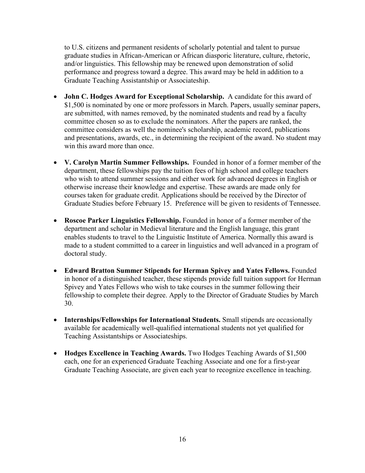to U.S. citizens and permanent residents of scholarly potential and talent to pursue graduate studies in African-American or African diasporic literature, culture, rhetoric, and/or linguistics. This fellowship may be renewed upon demonstration of solid performance and progress toward a degree. This award may be held in addition to a Graduate Teaching Assistantship or Associateship.

- **John C. Hodges Award for Exceptional Scholarship.** A candidate for this award of \$1,500 is nominated by one or more professors in March. Papers, usually seminar papers, are submitted, with names removed, by the nominated students and read by a faculty committee chosen so as to exclude the nominators. After the papers are ranked, the committee considers as well the nominee's scholarship, academic record, publications and presentations, awards, etc., in determining the recipient of the award. No student may win this award more than once.
- **V. Carolyn Martin Summer Fellowships.** Founded in honor of a former member of the department, these fellowships pay the tuition fees of high school and college teachers who wish to attend summer sessions and either work for advanced degrees in English or otherwise increase their knowledge and expertise. These awards are made only for courses taken for graduate credit. Applications should be received by the Director of Graduate Studies before February 15. Preference will be given to residents of Tennessee.
- **Roscoe Parker Linguistics Fellowship.** Founded in honor of a former member of the department and scholar in Medieval literature and the English language, this grant enables students to travel to the Linguistic Institute of America. Normally this award is made to a student committed to a career in linguistics and well advanced in a program of doctoral study.
- **Edward Bratton Summer Stipends for Herman Spivey and Yates Fellows.** Founded in honor of a distinguished teacher, these stipends provide full tuition support for Herman Spivey and Yates Fellows who wish to take courses in the summer following their fellowship to complete their degree. Apply to the Director of Graduate Studies by March 30.
- **Internships/Fellowships for International Students.** Small stipends are occasionally available for academically well-qualified international students not yet qualified for Teaching Assistantships or Associateships.
- **Hodges Excellence in Teaching Awards.** Two Hodges Teaching Awards of \$1,500 each, one for an experienced Graduate Teaching Associate and one for a first-year Graduate Teaching Associate, are given each year to recognize excellence in teaching.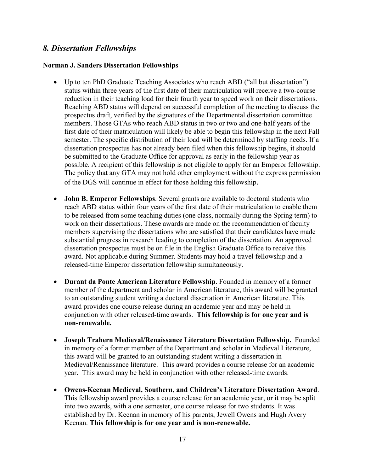#### *8. Dissertation Fellowships*

#### **Norman J. Sanders Dissertation Fellowships**

- Up to ten PhD Graduate Teaching Associates who reach ABD ("all but dissertation") status within three years of the first date of their matriculation will receive a two-course reduction in their teaching load for their fourth year to speed work on their dissertations. Reaching ABD status will depend on successful completion of the meeting to discuss the prospectus draft, verified by the signatures of the Departmental dissertation committee members. Those GTAs who reach ABD status in two or two and one-half years of the first date of their matriculation will likely be able to begin this fellowship in the next Fall semester. The specific distribution of their load will be determined by staffing needs. If a dissertation prospectus has not already been filed when this fellowship begins, it should be submitted to the Graduate Office for approval as early in the fellowship year as possible. A recipient of this fellowship is not eligible to apply for an Emperor fellowship. The policy that any GTA may not hold other employment without the express permission of the DGS will continue in effect for those holding this fellowship.
- **John B. Emperor Fellowships**. Several grants are available to doctoral students who reach ABD status within four years of the first date of their matriculation to enable them to be released from some teaching duties (one class, normally during the Spring term) to work on their dissertations. These awards are made on the recommendation of faculty members supervising the dissertations who are satisfied that their candidates have made substantial progress in research leading to completion of the dissertation. An approved dissertation prospectus must be on file in the English Graduate Office to receive this award. Not applicable during Summer. Students may hold a travel fellowship and a released-time Emperor dissertation fellowship simultaneously.
- **Durant da Ponte American Literature Fellowship**. Founded in memory of a former member of the department and scholar in American literature, this award will be granted to an outstanding student writing a doctoral dissertation in American literature. This award provides one course release during an academic year and may be held in conjunction with other released-time awards. **This fellowship is for one year and is non-renewable.**
- **Joseph Trahern Medieval/Renaissance Literature Dissertation Fellowship.** Founded in memory of a former member of the Department and scholar in Medieval Literature, this award will be granted to an outstanding student writing a dissertation in Medieval/Renaissance literature. This award provides a course release for an academic year. This award may be held in conjunction with other released-time awards.
- **Owens-Keenan Medieval, Southern, and Children's Literature Dissertation Award**. This fellowship award provides a course release for an academic year, or it may be split into two awards, with a one semester, one course release for two students. It was established by Dr. Keenan in memory of his parents, Jewell Owens and Hugh Avery Keenan. **This fellowship is for one year and is non-renewable.**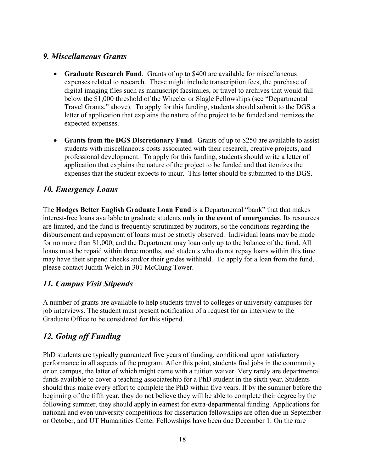### *9. Miscellaneous Grants*

- **Graduate Research Fund**. Grants of up to \$400 are available for miscellaneous expenses related to research. These might include transcription fees, the purchase of digital imaging files such as manuscript facsimiles, or travel to archives that would fall below the \$1,000 threshold of the Wheeler or Slagle Fellowships (see "Departmental Travel Grants," above). To apply for this funding, students should submit to the DGS a letter of application that explains the nature of the project to be funded and itemizes the expected expenses.
- **Grants from the DGS Discretionary Fund**. Grants of up to \$250 are available to assist students with miscellaneous costs associated with their research, creative projects, and professional development. To apply for this funding, students should write a letter of application that explains the nature of the project to be funded and that itemizes the expenses that the student expects to incur. This letter should be submitted to the DGS.

### *10. Emergency Loans*

The **Hodges Better English Graduate Loan Fund** is a Departmental "bank" that that makes interest-free loans available to graduate students **only in the event of emergencies**. Its resources are limited, and the fund is frequently scrutinized by auditors, so the conditions regarding the disbursement and repayment of loans must be strictly observed. Individual loans may be made for no more than \$1,000, and the Department may loan only up to the balance of the fund. All loans must be repaid within three months, and students who do not repay loans within this time may have their stipend checks and/or their grades withheld. To apply for a loan from the fund, please contact Judith Welch in 301 McClung Tower.

### *11. Campus Visit Stipends*

A number of grants are available to help students travel to colleges or university campuses for job interviews. The student must present notification of a request for an interview to the Graduate Office to be considered for this stipend.

## *12. Going off Funding*

PhD students are typically guaranteed five years of funding, conditional upon satisfactory performance in all aspects of the program. After this point, students find jobs in the community or on campus, the latter of which might come with a tuition waiver. Very rarely are departmental funds available to cover a teaching associateship for a PhD student in the sixth year. Students should thus make every effort to complete the PhD within five years. If by the summer before the beginning of the fifth year, they do not believe they will be able to complete their degree by the following summer, they should apply in earnest for extra-departmental funding. Applications for national and even university competitions for dissertation fellowships are often due in September or October, and UT Humanities Center Fellowships have been due December 1. On the rare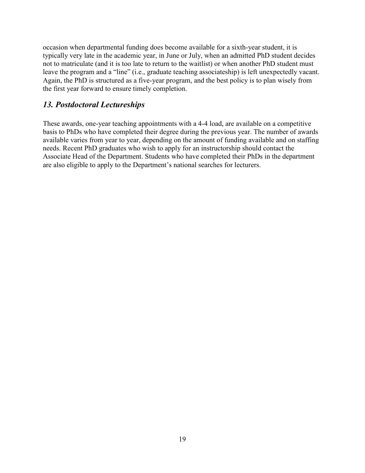occasion when departmental funding does become available for a sixth-year student, it is typically very late in the academic year, in June or July, when an admitted PhD student decides not to matriculate (and it is too late to return to the waitlist) or when another PhD student must leave the program and a "line" (i.e., graduate teaching associateship) is left unexpectedly vacant. Again, the PhD is structured as a five-year program, and the best policy is to plan wisely from the first year forward to ensure timely completion.

#### *13. Postdoctoral Lectureships*

These awards, one-year teaching appointments with a 4-4 load, are available on a competitive basis to PhDs who have completed their degree during the previous year. The number of awards available varies from year to year, depending on the amount of funding available and on staffing needs. Recent PhD graduates who wish to apply for an instructorship should contact the Associate Head of the Department. Students who have completed their PhDs in the department are also eligible to apply to the Department's national searches for lecturers.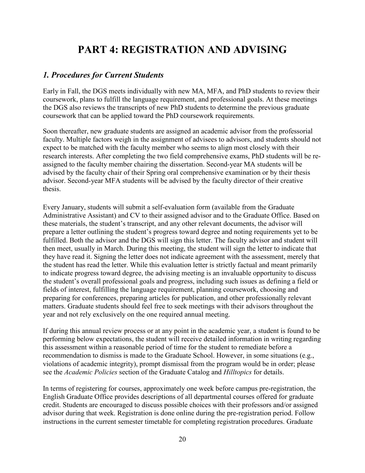# **PART 4: REGISTRATION AND ADVISING**

#### <span id="page-20-0"></span>*1. Procedures for Current Students*

Early in Fall, the DGS meets individually with new MA, MFA, and PhD students to review their coursework, plans to fulfill the language requirement, and professional goals. At these meetings the DGS also reviews the transcripts of new PhD students to determine the previous graduate coursework that can be applied toward the PhD coursework requirements.

Soon thereafter, new graduate students are assigned an academic advisor from the professorial faculty. Multiple factors weigh in the assignment of advisees to advisors, and students should not expect to be matched with the faculty member who seems to align most closely with their research interests. After completing the two field comprehensive exams, PhD students will be reassigned to the faculty member chairing the dissertation. Second-year MA students will be advised by the faculty chair of their Spring oral comprehensive examination or by their thesis advisor. Second-year MFA students will be advised by the faculty director of their creative thesis.

Every January, students will submit a self-evaluation form (available from the Graduate Administrative Assistant) and CV to their assigned advisor and to the Graduate Office. Based on these materials, the student's transcript, and any other relevant documents, the advisor will prepare a letter outlining the student's progress toward degree and noting requirements yet to be fulfilled. Both the advisor and the DGS will sign this letter. The faculty advisor and student will then meet, usually in March. During this meeting, the student will sign the letter to indicate that they have read it. Signing the letter does not indicate agreement with the assessment, merely that the student has read the letter. While this evaluation letter is strictly factual and meant primarily to indicate progress toward degree, the advising meeting is an invaluable opportunity to discuss the student's overall professional goals and progress, including such issues as defining a field or fields of interest, fulfilling the language requirement, planning coursework, choosing and preparing for conferences, preparing articles for publication, and other professionally relevant matters. Graduate students should feel free to seek meetings with their advisors throughout the year and not rely exclusively on the one required annual meeting.

If during this annual review process or at any point in the academic year, a student is found to be performing below expectations, the student will receive detailed information in writing regarding this assessment within a reasonable period of time for the student to remediate before a recommendation to dismiss is made to the Graduate School. However, in some situations (e.g., violations of academic integrity), prompt dismissal from the program would be in order; please see the *Academic Policies* section of the Graduate Catalog and *Hilltopics* for details.

In terms of registering for courses, approximately one week before campus pre-registration, the English Graduate Office provides descriptions of all departmental courses offered for graduate credit. Students are encouraged to discuss possible choices with their professors and/or assigned advisor during that week. Registration is done online during the pre-registration period. Follow instructions in the current semester timetable for completing registration procedures. Graduate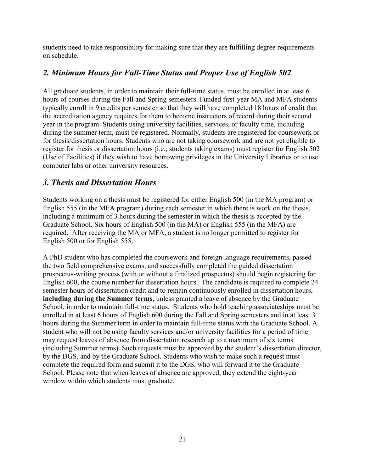students need to take responsibility for making sure that they are fulfilling degree requirements on schedule.

## *2. Minimum Hours for Full-Time Status and Proper Use of English 502*

All graduate students, in order to maintain their full-time status, must be enrolled in at least 6 hours of courses during the Fall and Spring semesters. Funded first-year MA and MFA students typically enroll in 9 credits per semester so that they will have completed 18 hours of credit that the accreditation agency requires for them to become instructors of record during their second year in the program. Students using university facilities, services, or faculty time, including during the summer term, must be registered. Normally, students are registered for coursework or for thesis/dissertation hours. Students who are not taking coursework and are not yet eligible to register for thesis or dissertation hours (i.e., students taking exams) must register for English 502 (Use of Facilities) if they wish to have borrowing privileges in the University Libraries or to use computer labs or other university resources.

### *3. Thesis and Dissertation Hours*

Students working on a thesis must be registered for either English 500 (in the MA program) or English 555 (in the MFA program) during each semester in which there is work on the thesis, including a minimum of 3 hours during the semester in which the thesis is accepted by the Graduate School. Six hours of English 500 (in the MA) or English 555 (in the MFA) are required. After receiving the MA or MFA, a student is no longer permitted to register for English 500 or for English 555.

A PhD student who has completed the coursework and foreign language requirements, passed the two field comprehensive exams, and successfully completed the guided dissertation prospectus-writing process (with or without a finalized prospectus) should begin registering for English 600, the course number for dissertation hours. The candidate is required to complete 24 semester hours of dissertation credit and to remain continuously enrolled in dissertation hours, **including during the Summer terms**, unless granted a leave of absence by the Graduate School, in order to maintain full-time status. Students who hold teaching associateships must be enrolled in at least 6 hours of English 600 during the Fall and Spring semesters and in at least 3 hours during the Summer term in order to maintain full-time status with the Graduate School. A student who will not be using faculty services and/or university facilities for a period of time may request leaves of absence from dissertation research up to a maximum of six terms (including Summer terms). Such requests must be approved by the student's dissertation director, by the DGS, and by the Graduate School. Students who wish to make such a request must complete the required form and submit it to the DGS, who will forward it to the Graduate School. Please note that when leaves of absence are approved, they extend the eight-year window within which students must graduate.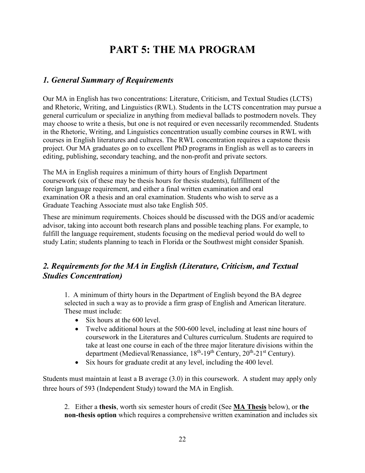# **PART 5: THE MA PROGRAM**

## <span id="page-22-0"></span>*1. General Summary of Requirements*

Our MA in English has two concentrations: Literature, Criticism, and Textual Studies (LCTS) and Rhetoric, Writing, and Linguistics (RWL). Students in the LCTS concentration may pursue a general curriculum or specialize in anything from medieval ballads to postmodern novels. They may choose to write a thesis, but one is not required or even necessarily recommended. Students in the Rhetoric, Writing, and Linguistics concentration usually combine courses in RWL with courses in English literatures and cultures. The RWL concentration requires a capstone thesis project. Our MA graduates go on to excellent PhD programs in English as well as to careers in editing, publishing, secondary teaching, and the non-profit and private sectors.

The MA in English requires a minimum of thirty hours of English Department coursework (six of these may be thesis hours for thesis students), fulfillment of the foreign language requirement, and either a final written examination and oral examination OR a thesis and an oral examination. Students who wish to serve as a Graduate Teaching Associate must also take English 505.

These are minimum requirements. Choices should be discussed with the DGS and/or academic advisor, taking into account both research plans and possible teaching plans. For example, to fulfill the language requirement, students focusing on the medieval period would do well to study Latin; students planning to teach in Florida or the Southwest might consider Spanish.

## *2. Requirements for the MA in English (Literature, Criticism, and Textual Studies Concentration)*

1. A minimum of thirty hours in the Department of English beyond the BA degree selected in such a way as to provide a firm grasp of English and American literature. These must include:

- Six hours at the 600 level.
- Twelve additional hours at the 500-600 level, including at least nine hours of coursework in the Literatures and Cultures curriculum. Students are required to take at least one course in each of the three major literature divisions within the department (Medieval/Renassiance,  $18<sup>th</sup>$ -19<sup>th</sup> Century,  $20<sup>th</sup>$ -21<sup>st</sup> Century).
- Six hours for graduate credit at any level, including the 400 level.

Students must maintain at least a B average (3.0) in this coursework. A student may apply only three hours of 593 (Independent Study) toward the MA in English.

2. Either a **thesis**, worth six semester hours of credit (See **MA Thesis** below), or **the non-thesis option** which requires a comprehensive written examination and includes six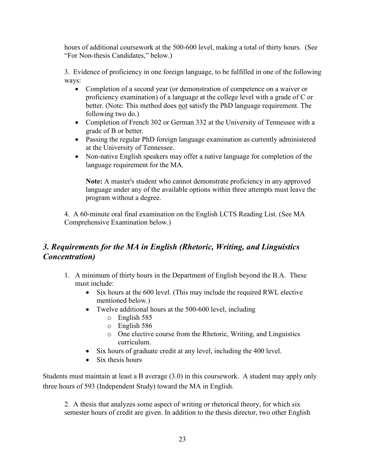hours of additional coursework at the 500-600 level, making a total of thirty hours. (See "For Non-thesis Candidates," below.)

3. Evidence of proficiency in one foreign language, to be fulfilled in one of the following ways:

- Completion of a second year (or demonstration of competence on a waiver or proficiency examination) of a language at the college level with a grade of C or better. (Note: This method does not satisfy the PhD language requirement. The following two do.)
- Completion of French 302 or German 332 at the University of Tennessee with a grade of B or better.
- Passing the regular PhD foreign language examination as currently administered at the University of Tennessee.
- Non-native English speakers may offer a native language for completion of the language requirement for the MA.

**Note:** A master's student who cannot demonstrate proficiency in any approved language under any of the available options within three attempts must leave the program without a degree.

4. A 60-minute oral final examination on the English LCTS Reading List. (See MA Comprehensive Examination below.)

## *3. Requirements for the MA in English (Rhetoric, Writing, and Linguistics Concentration)*

- 1. A minimum of thirty hours in the Department of English beyond the B.A. These must include:
	- Six hours at the 600 level. (This may include the required RWL elective mentioned below.)
	- Twelve additional hours at the 500-600 level, including
		- o English 585
		- o English 586
		- o One elective course from the Rhetoric, Writing, and Linguistics curriculum.
	- Six hours of graduate credit at any level, including the 400 level.
	- Six thesis hours

Students must maintain at least a B average (3.0) in this coursework. A student may apply only three hours of 593 (Independent Study) toward the MA in English.

2. A thesis that analyzes some aspect of writing or rhetorical theory, for which six semester hours of credit are given. In addition to the thesis director, two other English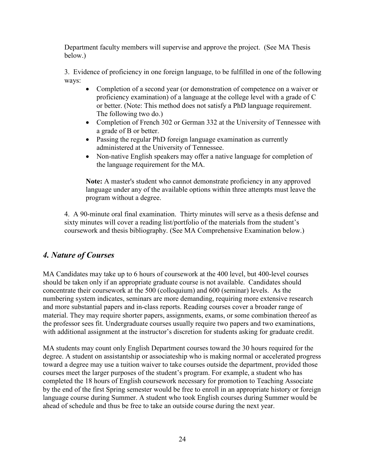Department faculty members will supervise and approve the project. (See MA Thesis below.)

3. Evidence of proficiency in one foreign language, to be fulfilled in one of the following ways:

- Completion of a second year (or demonstration of competence on a waiver or proficiency examination) of a language at the college level with a grade of C or better. (Note: This method does not satisfy a PhD language requirement. The following two do.)
- Completion of French 302 or German 332 at the University of Tennessee with a grade of B or better.
- Passing the regular PhD foreign language examination as currently administered at the University of Tennessee.
- Non-native English speakers may offer a native language for completion of the language requirement for the MA.

**Note:** A master's student who cannot demonstrate proficiency in any approved language under any of the available options within three attempts must leave the program without a degree.

4. A 90-minute oral final examination. Thirty minutes will serve as a thesis defense and sixty minutes will cover a reading list/portfolio of the materials from the student's coursework and thesis bibliography. (See MA Comprehensive Examination below.)

### *4. Nature of Courses*

MA Candidates may take up to 6 hours of coursework at the 400 level, but 400-level courses should be taken only if an appropriate graduate course is not available. Candidates should concentrate their coursework at the 500 (colloquium) and 600 (seminar) levels. As the numbering system indicates, seminars are more demanding, requiring more extensive research and more substantial papers and in-class reports. Reading courses cover a broader range of material. They may require shorter papers, assignments, exams, or some combination thereof as the professor sees fit. Undergraduate courses usually require two papers and two examinations, with additional assignment at the instructor's discretion for students asking for graduate credit.

MA students may count only English Department courses toward the 30 hours required for the degree. A student on assistantship or associateship who is making normal or accelerated progress toward a degree may use a tuition waiver to take courses outside the department, provided those courses meet the larger purposes of the student's program. For example, a student who has completed the 18 hours of English coursework necessary for promotion to Teaching Associate by the end of the first Spring semester would be free to enroll in an appropriate history or foreign language course during Summer. A student who took English courses during Summer would be ahead of schedule and thus be free to take an outside course during the next year.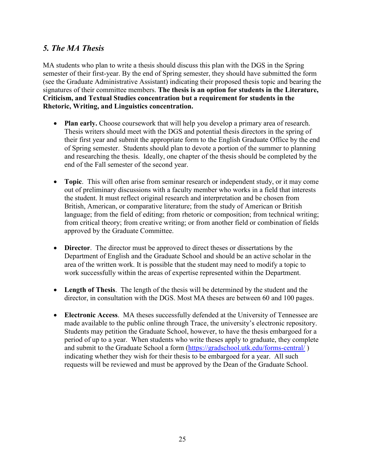## *5. The MA Thesis*

MA students who plan to write a thesis should discuss this plan with the DGS in the Spring semester of their first-year. By the end of Spring semester, they should have submitted the form (see the Graduate Administrative Assistant) indicating their proposed thesis topic and bearing the signatures of their committee members. **The thesis is an option for students in the Literature, Criticism, and Textual Studies concentration but a requirement for students in the Rhetoric, Writing, and Linguistics concentration.**

- **Plan early.** Choose coursework that will help you develop a primary area of research. Thesis writers should meet with the DGS and potential thesis directors in the spring of their first year and submit the appropriate form to the English Graduate Office by the end of Spring semester. Students should plan to devote a portion of the summer to planning and researching the thesis. Ideally, one chapter of the thesis should be completed by the end of the Fall semester of the second year.
- **Topic**. This will often arise from seminar research or independent study, or it may come out of preliminary discussions with a faculty member who works in a field that interests the student. It must reflect original research and interpretation and be chosen from British, American, or comparative literature; from the study of American or British language; from the field of editing; from rhetoric or composition; from technical writing; from critical theory; from creative writing; or from another field or combination of fields approved by the Graduate Committee.
- **Director**. The director must be approved to direct theses or dissertations by the Department of English and the Graduate School and should be an active scholar in the area of the written work. It is possible that the student may need to modify a topic to work successfully within the areas of expertise represented within the Department.
- **Length of Thesis**. The length of the thesis will be determined by the student and the director, in consultation with the DGS. Most MA theses are between 60 and 100 pages.
- **Electronic Access**. MA theses successfully defended at the University of Tennessee are made available to the public online through Trace, the university's electronic repository. Students may petition the Graduate School, however, to have the thesis embargoed for a period of up to a year. When students who write theses apply to graduate, they complete and submit to the Graduate School a form [\(https://gradschool.utk.edu/forms-central/](https://gradschool.utk.edu/forms-central/)) indicating whether they wish for their thesis to be embargoed for a year. All such requests will be reviewed and must be approved by the Dean of the Graduate School.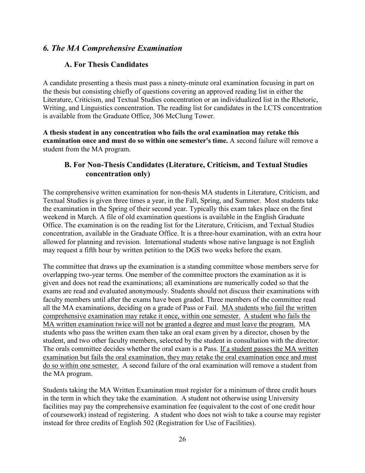#### *6. The MA Comprehensive Examination*

#### **A. For Thesis Candidates**

A candidate presenting a thesis must pass a ninety-minute oral examination focusing in part on the thesis but consisting chiefly of questions covering an approved reading list in either the Literature, Criticism, and Textual Studies concentration or an individualized list in the Rhetoric, Writing, and Linguistics concentration. The reading list for candidates in the LCTS concentration is available from the Graduate Office, 306 McClung Tower.

**A thesis student in any concentration who fails the oral examination may retake this examination once and must do so within one semester's time.** A second failure will remove a student from the MA program.

#### **B. For Non-Thesis Candidates (Literature, Criticism, and Textual Studies concentration only)**

The comprehensive written examination for non-thesis MA students in Literature, Criticism, and Textual Studies is given three times a year, in the Fall, Spring, and Summer. Most students take the examination in the Spring of their second year. Typically this exam takes place on the first weekend in March. A file of old examination questions is available in the English Graduate Office. The examination is on the reading list for the Literature, Criticism, and Textual Studies concentration, available in the Graduate Office. It is a three-hour examination, with an extra hour allowed for planning and revision. International students whose native language is not English may request a fifth hour by written petition to the DGS two weeks before the exam.

The committee that draws up the examination is a standing committee whose members serve for overlapping two-year terms. One member of the committee proctors the examination as it is given and does not read the examinations; all examinations are numerically coded so that the exams are read and evaluated anonymously. Students should not discuss their examinations with faculty members until after the exams have been graded. Three members of the committee read all the MA examinations, deciding on a grade of Pass or Fail. MA students who fail the written comprehensive examination may retake it once, within one semester. A student who fails the MA written examination twice will not be granted a degree and must leave the program. MA students who pass the written exam then take an oral exam given by a director, chosen by the student, and two other faculty members, selected by the student in consultation with the director. The orals committee decides whether the oral exam is a Pass. If a student passes the MA written examination but fails the oral examination, they may retake the oral examination once and must do so within one semester. A second failure of the oral examination will remove a student from the MA program.

Students taking the MA Written Examination must register for a minimum of three credit hours in the term in which they take the examination. A student not otherwise using University facilities may pay the comprehensive examination fee (equivalent to the cost of one credit hour of coursework) instead of registering. A student who does not wish to take a course may register instead for three credits of English 502 (Registration for Use of Facilities).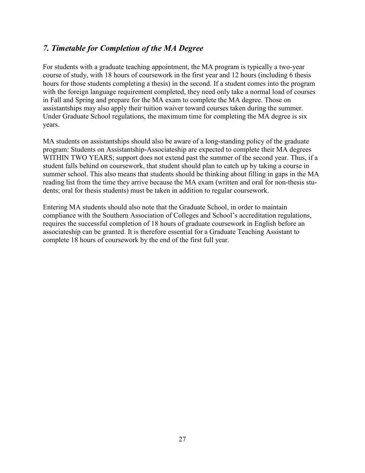## *7. Timetable for Completion of the MA Degree*

For students with a graduate teaching appointment, the MA program is typically a two-year course of study, with 18 hours of coursework in the first year and 12 hours (including 6 thesis hours for those students completing a thesis) in the second. If a student comes into the program with the foreign language requirement completed, they need only take a normal load of courses in Fall and Spring and prepare for the MA exam to complete the MA degree. Those on assistantships may also apply their tuition waiver toward courses taken during the summer. Under Graduate School regulations, the maximum time for completing the MA degree is six years.

MA students on assistantships should also be aware of a long-standing policy of the graduate program: Students on Assistantship-Associateship are expected to complete their MA degrees WITHIN TWO YEARS; support does not extend past the summer of the second year. Thus, if a student falls behind on coursework, that student should plan to catch up by taking a course in summer school. This also means that students should be thinking about filling in gaps in the MA reading list from the time they arrive because the MA exam (written and oral for non-thesis students; oral for thesis students) must be taken in addition to regular coursework.

Entering MA students should also note that the Graduate School, in order to maintain compliance with the Southern Association of Colleges and School's accreditation regulations, requires the successful completion of 18 hours of graduate coursework in English before an associateship can be granted. It is therefore essential for a Graduate Teaching Assistant to complete 18 hours of coursework by the end of the first full year.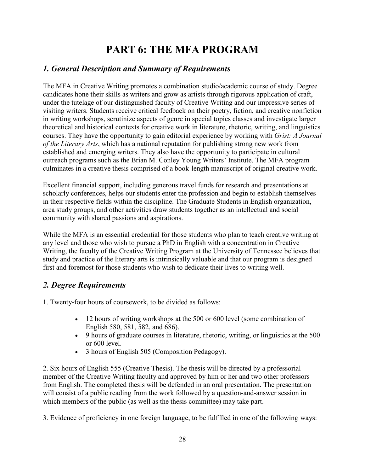# **PART 6: THE MFA PROGRAM**

## <span id="page-28-0"></span>*1. General Description and Summary of Requirements*

The MFA in Creative Writing promotes a combination studio/academic course of study. Degree candidates hone their skills as writers and grow as artists through rigorous application of craft, under the tutelage of our distinguished faculty of Creative Writing and our impressive series of visiting writers. Students receive critical feedback on their poetry, fiction, and creative nonfiction in writing workshops, scrutinize aspects of genre in special topics classes and investigate larger theoretical and historical contexts for creative work in literature, rhetoric, writing, and linguistics courses. They have the opportunity to gain editorial experience by working with *Grist: A Journal of the Literary Arts*, which has a national reputation for publishing strong new work from established and emerging writers. They also have the opportunity to participate in cultural outreach programs such as the Brian M. Conley Young Writers' Institute. The MFA program culminates in a creative thesis comprised of a book-length manuscript of original creative work.

Excellent financial support, including generous travel funds for research and presentations at scholarly conferences, helps our students enter the profession and begin to establish themselves in their respective fields within the discipline. The Graduate Students in English organization, area study groups, and other activities draw students together as an intellectual and social community with shared passions and aspirations.

While the MFA is an essential credential for those students who plan to teach creative writing at any level and those who wish to pursue a PhD in English with a concentration in Creative Writing, the faculty of the Creative Writing Program at the University of Tennessee believes that study and practice of the literary arts is intrinsically valuable and that our program is designed first and foremost for those students who wish to dedicate their lives to writing well.

## *2. Degree Requirements*

1. Twenty-four hours of coursework, to be divided as follows:

- 12 hours of writing workshops at the 500 or 600 level (some combination of English 580, 581, 582, and 686).
- 9 hours of graduate courses in literature, rhetoric, writing, or linguistics at the 500 or 600 level.
- 3 hours of English 505 (Composition Pedagogy).

2. Six hours of English 555 (Creative Thesis). The thesis will be directed by a professorial member of the Creative Writing faculty and approved by him or her and two other professors from English. The completed thesis will be defended in an oral presentation. The presentation will consist of a public reading from the work followed by a question-and-answer session in which members of the public (as well as the thesis committee) may take part.

3. Evidence of proficiency in one foreign language, to be fulfilled in one of the following ways: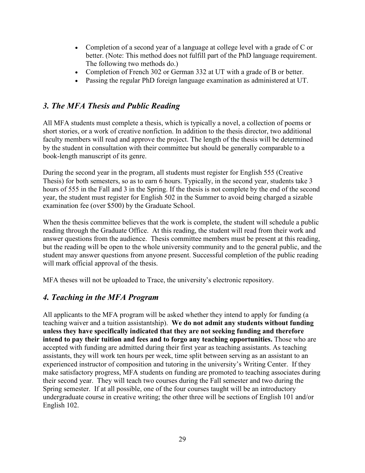- Completion of a second year of a language at college level with a grade of C or better. (Note: This method does not fulfill part of the PhD language requirement. The following two methods do.)
- Completion of French 302 or German 332 at UT with a grade of B or better.
- Passing the regular PhD foreign language examination as administered at UT.

## *3. The MFA Thesis and Public Reading*

All MFA students must complete a thesis, which is typically a novel, a collection of poems or short stories, or a work of creative nonfiction. In addition to the thesis director, two additional faculty members will read and approve the project. The length of the thesis will be determined by the student in consultation with their committee but should be generally comparable to a book-length manuscript of its genre.

During the second year in the program, all students must register for English 555 (Creative Thesis) for both semesters, so as to earn 6 hours. Typically, in the second year, students take 3 hours of 555 in the Fall and 3 in the Spring. If the thesis is not complete by the end of the second year, the student must register for English 502 in the Summer to avoid being charged a sizable examination fee (over \$500) by the Graduate School.

When the thesis committee believes that the work is complete, the student will schedule a public reading through the Graduate Office. At this reading, the student will read from their work and answer questions from the audience. Thesis committee members must be present at this reading, but the reading will be open to the whole university community and to the general public, and the student may answer questions from anyone present. Successful completion of the public reading will mark official approval of the thesis.

MFA theses will not be uploaded to Trace, the university's electronic repository.

### *4. Teaching in the MFA Program*

All applicants to the MFA program will be asked whether they intend to apply for funding (a teaching waiver and a tuition assistantship). **We do not admit any students without funding unless they have specifically indicated that they are not seeking funding and therefore intend to pay their tuition and fees and to forgo any teaching opportunities.** Those who are accepted with funding are admitted during their first year as teaching assistants. As teaching assistants, they will work ten hours per week, time split between serving as an assistant to an experienced instructor of composition and tutoring in the university's Writing Center. If they make satisfactory progress, MFA students on funding are promoted to teaching associates during their second year. They will teach two courses during the Fall semester and two during the Spring semester. If at all possible, one of the four courses taught will be an introductory undergraduate course in creative writing; the other three will be sections of English 101 and/or English 102.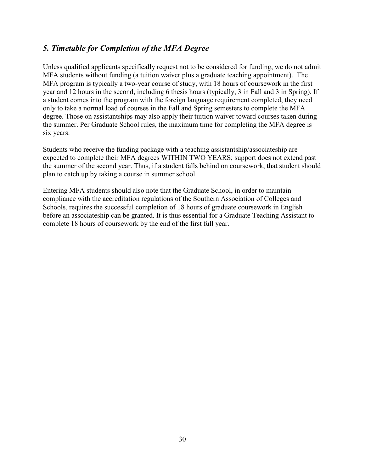### *5. Timetable for Completion of the MFA Degree*

Unless qualified applicants specifically request not to be considered for funding, we do not admit MFA students without funding (a tuition waiver plus a graduate teaching appointment). The MFA program is typically a two-year course of study, with 18 hours of coursework in the first year and 12 hours in the second, including 6 thesis hours (typically, 3 in Fall and 3 in Spring). If a student comes into the program with the foreign language requirement completed, they need only to take a normal load of courses in the Fall and Spring semesters to complete the MFA degree. Those on assistantships may also apply their tuition waiver toward courses taken during the summer. Per Graduate School rules, the maximum time for completing the MFA degree is six years.

Students who receive the funding package with a teaching assistantship/associateship are expected to complete their MFA degrees WITHIN TWO YEARS; support does not extend past the summer of the second year. Thus, if a student falls behind on coursework, that student should plan to catch up by taking a course in summer school.

Entering MFA students should also note that the Graduate School, in order to maintain compliance with the accreditation regulations of the Southern Association of Colleges and Schools, requires the successful completion of 18 hours of graduate coursework in English before an associateship can be granted. It is thus essential for a Graduate Teaching Assistant to complete 18 hours of coursework by the end of the first full year.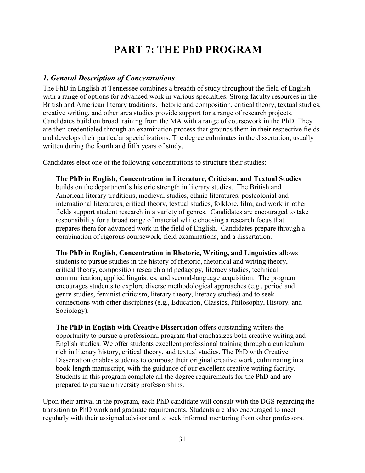# **PART 7: THE PhD PROGRAM**

#### <span id="page-31-0"></span>*1. General Description of Concentrations*

The PhD in English at Tennessee combines a breadth of study throughout the field of English with a range of options for advanced work in various specialties. Strong faculty resources in the British and American literary traditions, rhetoric and composition, critical theory, textual studies, creative writing, and other area studies provide support for a range of research projects. Candidates build on broad training from the MA with a range of coursework in the PhD. They are then credentialed through an examination process that grounds them in their respective fields and develops their particular specializations. The degree culminates in the dissertation, usually written during the fourth and fifth years of study.

Candidates elect one of the following concentrations to structure their studies:

**The PhD in English, Concentration in Literature, Criticism, and Textual Studies**  builds on the department's historic strength in literary studies. The British and American literary traditions, medieval studies, ethnic literatures, postcolonial and international literatures, critical theory, textual studies, folklore, film, and work in other fields support student research in a variety of genres. Candidates are encouraged to take responsibility for a broad range of material while choosing a research focus that prepares them for advanced work in the field of English. Candidates prepare through a combination of rigorous coursework, field examinations, and a dissertation.

**The PhD in English, Concentration in Rhetoric, Writing, and Linguistics** allows students to pursue studies in the history of rhetoric, rhetorical and writing theory, critical theory, composition research and pedagogy, literacy studies, technical communication, applied linguistics, and second-language acquisition. The program encourages students to explore diverse methodological approaches (e.g., period and genre studies, feminist criticism, literary theory, literacy studies) and to seek connections with other disciplines (e.g., Education, Classics, Philosophy, History, and Sociology).

**The PhD in English with Creative Dissertation** offers outstanding writers the opportunity to pursue a professional program that emphasizes both creative writing and English studies. We offer students excellent professional training through a curriculum rich in literary history, critical theory, and textual studies. The PhD with Creative Dissertation enables students to compose their original creative work, culminating in a book-length manuscript, with the guidance of our excellent creative writing faculty. Students in this program complete all the degree requirements for the PhD and are prepared to pursue university professorships.

Upon their arrival in the program, each PhD candidate will consult with the DGS regarding the transition to PhD work and graduate requirements. Students are also encouraged to meet regularly with their assigned advisor and to seek informal mentoring from other professors.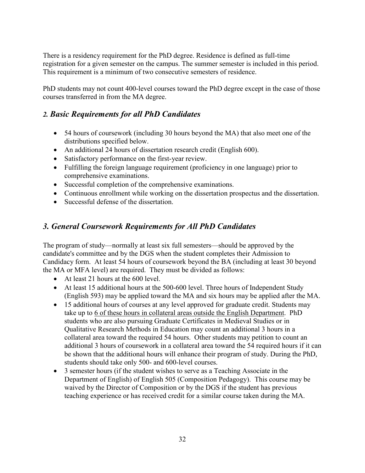There is a residency requirement for the PhD degree. Residence is defined as full-time registration for a given semester on the campus. The summer semester is included in this period. This requirement is a minimum of two consecutive semesters of residence.

PhD students may not count 400-level courses toward the PhD degree except in the case of those courses transferred in from the MA degree.

### *2. Basic Requirements for all PhD Candidates*

- 54 hours of coursework (including 30 hours beyond the MA) that also meet one of the distributions specified below.
- An additional 24 hours of dissertation research credit (English 600).
- Satisfactory performance on the first-year review.
- Fulfilling the foreign language requirement (proficiency in one language) prior to comprehensive examinations.
- Successful completion of the comprehensive examinations.
- Continuous enrollment while working on the dissertation prospectus and the dissertation.
- Successful defense of the dissertation.

## *3. General Coursework Requirements for All PhD Candidates*

The program of study—normally at least six full semesters—should be approved by the candidate's committee and by the DGS when the student completes their Admission to Candidacy form. At least 54 hours of coursework beyond the BA (including at least 30 beyond the MA or MFA level) are required. They must be divided as follows:

- At least 21 hours at the 600 level.
- At least 15 additional hours at the 500-600 level. Three hours of Independent Study (English 593) may be applied toward the MA and six hours may be applied after the MA.
- 15 additional hours of courses at any level approved for graduate credit. Students may take up to 6 of these hours in collateral areas outside the English Department. PhD students who are also pursuing Graduate Certificates in Medieval Studies or in Qualitative Research Methods in Education may count an additional 3 hours in a collateral area toward the required 54 hours. Other students may petition to count an additional 3 hours of coursework in a collateral area toward the 54 required hours if it can be shown that the additional hours will enhance their program of study. During the PhD, students should take only 500- and 600-level courses.
- 3 semester hours (if the student wishes to serve as a Teaching Associate in the Department of English) of English 505 (Composition Pedagogy). This course may be waived by the Director of Composition or by the DGS if the student has previous teaching experience or has received credit for a similar course taken during the MA.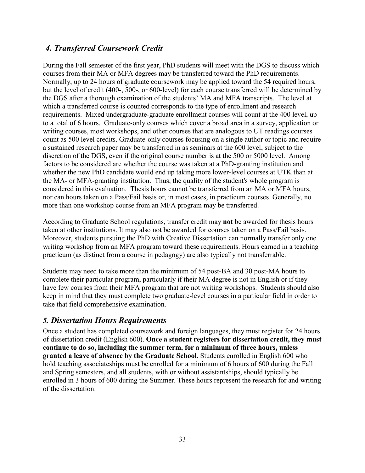### *4. Transferred Coursework Credit*

During the Fall semester of the first year, PhD students will meet with the DGS to discuss which courses from their MA or MFA degrees may be transferred toward the PhD requirements. Normally, up to 24 hours of graduate coursework may be applied toward the 54 required hours, but the level of credit (400-, 500-, or 600-level) for each course transferred will be determined by the DGS after a thorough examination of the students' MA and MFA transcripts. The level at which a transferred course is counted corresponds to the type of enrollment and research requirements. Mixed undergraduate-graduate enrollment courses will count at the 400 level, up to a total of 6 hours. Graduate-only courses which cover a broad area in a survey, application or writing courses, most workshops, and other courses that are analogous to UT readings courses count as 500 level credits. Graduate-only courses focusing on a single author or topic and require a sustained research paper may be transferred in as seminars at the 600 level, subject to the discretion of the DGS, even if the original course number is at the 500 or 5000 level. Among factors to be considered are whether the course was taken at a PhD-granting institution and whether the new PhD candidate would end up taking more lower-level courses at UTK than at the MA- or MFA-granting institution. Thus, the quality of the student's whole program is considered in this evaluation. Thesis hours cannot be transferred from an MA or MFA hours, nor can hours taken on a Pass/Fail basis or, in most cases, in practicum courses. Generally, no more than one workshop course from an MFA program may be transferred.

According to Graduate School regulations, transfer credit may **not** be awarded for thesis hours taken at other institutions. It may also not be awarded for courses taken on a Pass/Fail basis. Moreover, students pursuing the PhD with Creative Dissertation can normally transfer only one writing workshop from an MFA program toward these requirements. Hours earned in a teaching practicum (as distinct from a course in pedagogy) are also typically not transferrable.

Students may need to take more than the minimum of 54 post-BA and 30 post-MA hours to complete their particular program, particularly if their MA degree is not in English or if they have few courses from their MFA program that are not writing workshops. Students should also keep in mind that they must complete two graduate-level courses in a particular field in order to take that field comprehensive examination.

### *5. Dissertation Hours Requirements*

Once a student has completed coursework and foreign languages, they must register for 24 hours of dissertation credit (English 600). **Once a student registers for dissertation credit, they must continue to do so, including the summer term, for a minimum of three hours, unless granted a leave of absence by the Graduate School**. Students enrolled in English 600 who hold teaching associateships must be enrolled for a minimum of 6 hours of 600 during the Fall and Spring semesters, and all students, with or without assistantships, should typically be enrolled in 3 hours of 600 during the Summer. These hours represent the research for and writing of the dissertation.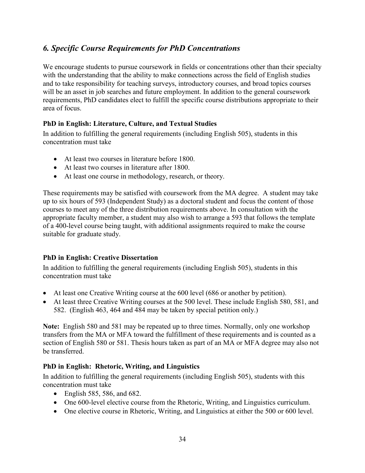## *6. Specific Course Requirements for PhD Concentrations*

We encourage students to pursue coursework in fields or concentrations other than their specialty with the understanding that the ability to make connections across the field of English studies and to take responsibility for teaching surveys, introductory courses, and broad topics courses will be an asset in job searches and future employment. In addition to the general coursework requirements, PhD candidates elect to fulfill the specific course distributions appropriate to their area of focus.

#### **PhD in English: Literature, Culture, and Textual Studies**

In addition to fulfilling the general requirements (including English 505), students in this concentration must take

- At least two courses in literature before 1800.
- At least two courses in literature after 1800.
- At least one course in methodology, research, or theory.

These requirements may be satisfied with coursework from the MA degree. A student may take up to six hours of 593 (Independent Study) as a doctoral student and focus the content of those courses to meet any of the three distribution requirements above. In consultation with the appropriate faculty member, a student may also wish to arrange a 593 that follows the template of a 400-level course being taught, with additional assignments required to make the course suitable for graduate study.

#### **PhD in English: Creative Dissertation**

In addition to fulfilling the general requirements (including English 505), students in this concentration must take

- At least one Creative Writing course at the 600 level (686 or another by petition).
- At least three Creative Writing courses at the 500 level. These include English 580, 581, and 582. (English 463, 464 and 484 may be taken by special petition only.)

**Note:** English 580 and 581 may be repeated up to three times. Normally, only one workshop transfers from the MA or MFA toward the fulfillment of these requirements and is counted as a section of English 580 or 581. Thesis hours taken as part of an MA or MFA degree may also not be transferred.

#### **PhD in English: Rhetoric, Writing, and Linguistics**

In addition to fulfilling the general requirements (including English 505), students with this concentration must take

- English 585, 586, and 682.
- One 600-level elective course from the Rhetoric, Writing, and Linguistics curriculum.
- One elective course in Rhetoric, Writing, and Linguistics at either the 500 or 600 level.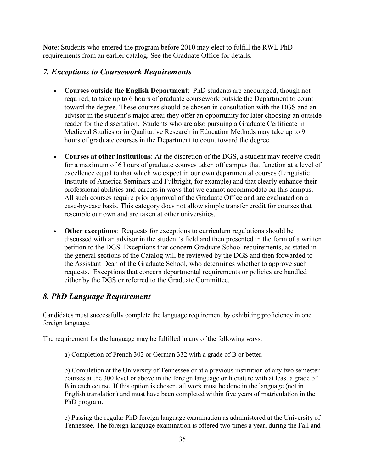**Note**: Students who entered the program before 2010 may elect to fulfill the RWL PhD requirements from an earlier catalog. See the Graduate Office for details.

#### *7. Exceptions to Coursework Requirements*

- **Courses outside the English Department**: PhD students are encouraged, though not required, to take up to 6 hours of graduate coursework outside the Department to count toward the degree. These courses should be chosen in consultation with the DGS and an advisor in the student's major area; they offer an opportunity for later choosing an outside reader for the dissertation. Students who are also pursuing a Graduate Certificate in Medieval Studies or in Qualitative Research in Education Methods may take up to 9 hours of graduate courses in the Department to count toward the degree.
- **Courses at other institutions**: At the discretion of the DGS, a student may receive credit for a maximum of 6 hours of graduate courses taken off campus that function at a level of excellence equal to that which we expect in our own departmental courses (Linguistic Institute of America Seminars and Fulbright, for example) and that clearly enhance their professional abilities and careers in ways that we cannot accommodate on this campus. All such courses require prior approval of the Graduate Office and are evaluated on a case-by-case basis. This category does not allow simple transfer credit for courses that resemble our own and are taken at other universities.
- **Other exceptions**: Requests for exceptions to curriculum regulations should be discussed with an advisor in the student's field and then presented in the form of a written petition to the DGS. Exceptions that concern Graduate School requirements, as stated in the general sections of the Catalog will be reviewed by the DGS and then forwarded to the Assistant Dean of the Graduate School, who determines whether to approve such requests. Exceptions that concern departmental requirements or policies are handled either by the DGS or referred to the Graduate Committee.

### *8. PhD Language Requirement*

Candidates must successfully complete the language requirement by exhibiting proficiency in one foreign language.

The requirement for the language may be fulfilled in any of the following ways:

a) Completion of French 302 or German 332 with a grade of B or better.

b) Completion at the University of Tennessee or at a previous institution of any two semester courses at the 300 level or above in the foreign language or literature with at least a grade of B in each course. If this option is chosen, all work must be done in the language (not in English translation) and must have been completed within five years of matriculation in the PhD program.

c) Passing the regular PhD foreign language examination as administered at the University of Tennessee. The foreign language examination is offered two times a year, during the Fall and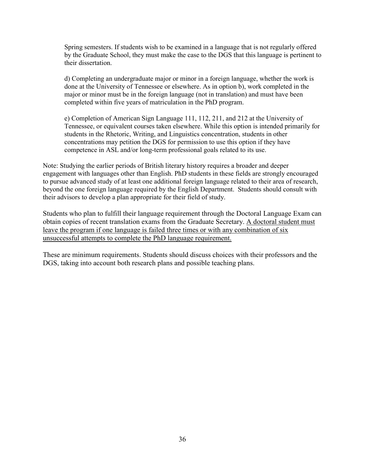Spring semesters. If students wish to be examined in a language that is not regularly offered by the Graduate School, they must make the case to the DGS that this language is pertinent to their dissertation.

d) Completing an undergraduate major or minor in a foreign language, whether the work is done at the University of Tennessee or elsewhere. As in option b), work completed in the major or minor must be in the foreign language (not in translation) and must have been completed within five years of matriculation in the PhD program.

e) Completion of American Sign Language 111, 112, 211, and 212 at the University of Tennessee, or equivalent courses taken elsewhere. While this option is intended primarily for students in the Rhetoric, Writing, and Linguistics concentration, students in other concentrations may petition the DGS for permission to use this option if they have competence in ASL and/or long-term professional goals related to its use.

Note: Studying the earlier periods of British literary history requires a broader and deeper engagement with languages other than English. PhD students in these fields are strongly encouraged to pursue advanced study of at least one additional foreign language related to their area of research, beyond the one foreign language required by the English Department. Students should consult with their advisors to develop a plan appropriate for their field of study.

Students who plan to fulfill their language requirement through the Doctoral Language Exam can obtain copies of recent translation exams from the Graduate Secretary. A doctoral student must leave the program if one language is failed three times or with any combination of six unsuccessful attempts to complete the PhD language requirement.

These are minimum requirements. Students should discuss choices with their professors and the DGS, taking into account both research plans and possible teaching plans.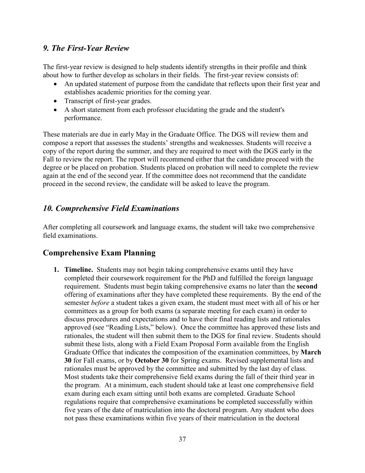#### *9. The First-Year Review*

The first-year review is designed to help students identify strengths in their profile and think about how to further develop as scholars in their fields. The first-year review consists of:

- An updated statement of purpose from the candidate that reflects upon their first year and establishes academic priorities for the coming year.
- Transcript of first-year grades.
- A short statement from each professor elucidating the grade and the student's performance.

These materials are due in early May in the Graduate Office. The DGS will review them and compose a report that assesses the students' strengths and weaknesses. Students will receive a copy of the report during the summer, and they are required to meet with the DGS early in the Fall to review the report. The report will recommend either that the candidate proceed with the degree or be placed on probation. Students placed on probation will need to complete the review again at the end of the second year. If the committee does not recommend that the candidate proceed in the second review, the candidate will be asked to leave the program.

## *10. Comprehensive Field Examinations*

After completing all coursework and language exams, the student will take two comprehensive field examinations.

## **Comprehensive Exam Planning**

**1. Timeline.** Students may not begin taking comprehensive exams until they have completed their coursework requirement for the PhD and fulfilled the foreign language requirement. Students must begin taking comprehensive exams no later than the **second**  offering of examinations after they have completed these requirements. By the end of the semester *before* a student takes a given exam, the student must meet with all of his or her committees as a group for both exams (a separate meeting for each exam) in order to discuss procedures and expectations and to have their final reading lists and rationales approved (see "Reading Lists," below). Once the committee has approved these lists and rationales, the student will then submit them to the DGS for final review. Students should submit these lists, along with a Field Exam Proposal Form available from the English Graduate Office that indicates the composition of the examination committees, by **March 30** for Fall exams, or by **October 30** for Spring exams. Revised supplemental lists and rationales must be approved by the committee and submitted by the last day of class. Most students take their comprehensive field exams during the fall of their third year in the program. At a minimum, each student should take at least one comprehensive field exam during each exam sitting until both exams are completed. Graduate School regulations require that comprehensive examinations be completed successfully within five years of the date of matriculation into the doctoral program. Any student who does not pass these examinations within five years of their matriculation in the doctoral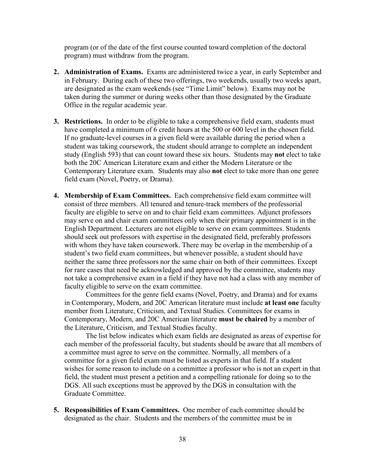program (or of the date of the first course counted toward completion of the doctoral program) must withdraw from the program.

- **2. Administration of Exams.** Exams are administered twice a year, in early September and in February. During each of these two offerings, two weekends, usually two weeks apart, are designated as the exam weekends (see "Time Limit" below). Exams may not be taken during the summer or during weeks other than those designated by the Graduate Office in the regular academic year.
- **3. Restrictions.** In order to be eligible to take a comprehensive field exam, students must have completed a minimum of 6 credit hours at the 500 or 600 level in the chosen field. If no graduate-level courses in a given field were available during the period when a student was taking coursework, the student should arrange to complete an independent study (English 593) that can count toward these six hours. Students may **not** elect to take both the 20C American Literature exam and either the Modern Literature or the Contemporary Literature exam. Students may also **not** elect to take more than one genre field exam (Novel, Poetry, or Drama).
- **4. Membership of Exam Committees.** Each comprehensive field exam committee will consist of three members. All tenured and tenure-track members of the professorial faculty are eligible to serve on and to chair field exam committees. Adjunct professors may serve on and chair exam committees only when their primary appointment is in the English Department. Lecturers are not eligible to serve on exam committees. Students should seek out professors with expertise in the designated field, preferably professors with whom they have taken coursework. There may be overlap in the membership of a student's two field exam committees, but whenever possible, a student should have neither the same three professors nor the same chair on both of their committees. Except for rare cases that need be acknowledged and approved by the committee, students may not take a comprehensive exam in a field if they have not had a class with any member of faculty eligible to serve on the exam committee.

Committees for the genre field exams (Novel, Poetry, and Drama) and for exams in Contemporary, Modern, and 20C American literature must include **at least one** faculty member from Literature, Criticism, and Textual Studies. Committees for exams in Contemporary, Modern, and 20C American literature **must be chaired** by a member of the Literature, Criticism, and Textual Studies faculty.

The list below indicates which exam fields are designated as areas of expertise for each member of the professorial faculty, but students should be aware that all members of a committee must agree to serve on the committee. Normally, all members of a committee for a given field exam must be listed as experts in that field. If a student wishes for some reason to include on a committee a professor who is not an expert in that field, the student must present a petition and a compelling rationale for doing so to the DGS. All such exceptions must be approved by the DGS in consultation with the Graduate Committee.

**5. Responsibilities of Exam Committees.** One member of each committee should be designated as the chair. Students and the members of the committee must be in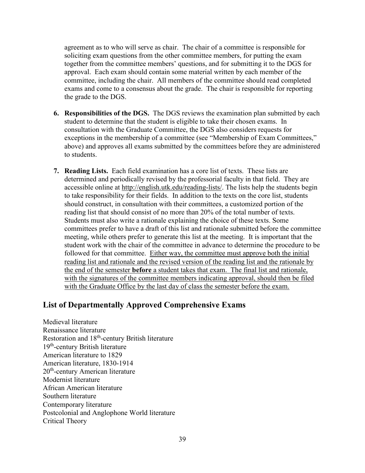agreement as to who will serve as chair. The chair of a committee is responsible for soliciting exam questions from the other committee members, for putting the exam together from the committee members' questions, and for submitting it to the DGS for approval. Each exam should contain some material written by each member of the committee, including the chair. All members of the committee should read completed exams and come to a consensus about the grade. The chair is responsible for reporting the grade to the DGS.

- **6. Responsibilities of the DGS.** The DGS reviews the examination plan submitted by each student to determine that the student is eligible to take their chosen exams. In consultation with the Graduate Committee, the DGS also considers requests for exceptions in the membership of a committee (see "Membership of Exam Committees," above) and approves all exams submitted by the committees before they are administered to students.
- **7. Reading Lists.** Each field examination has a core list of texts. These lists are determined and periodically revised by the professorial faculty in that field. They are accessible online at [http://english.utk.edu/reading-lists/.](http://english.utk.edu/reading-lists/) The lists help the students begin to take responsibility for their fields. In addition to the texts on the core list, students should construct, in consultation with their committees, a customized portion of the reading list that should consist of no more than 20% of the total number of texts. Students must also write a rationale explaining the choice of these texts. Some committees prefer to have a draft of this list and rationale submitted before the committee meeting, while others prefer to generate this list at the meeting. It is important that the student work with the chair of the committee in advance to determine the procedure to be followed for that committee. Either way, the committee must approve both the initial reading list and rationale and the revised version of the reading list and the rationale by the end of the semester **before** a student takes that exam. The final list and rationale, with the signatures of the committee members indicating approval, should then be filed with the Graduate Office by the last day of class the semester before the exam.

#### **List of Departmentally Approved Comprehensive Exams**

Medieval literature Renaissance literature Restoration and 18th-century British literature 19th-century British literature American literature to 1829 American literature, 1830-1914 20<sup>th</sup>-century American literature Modernist literature African American literature Southern literature Contemporary literature Postcolonial and Anglophone World literature Critical Theory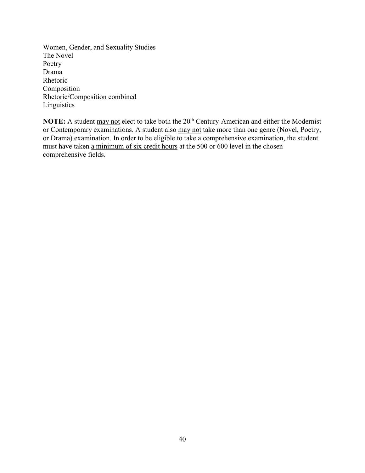Women, Gender, and Sexuality Studies The Novel Poetry Drama Rhetoric Composition Rhetoric/Composition combined Linguistics

NOTE: A student may not elect to take both the 20<sup>th</sup> Century-American and either the Modernist or Contemporary examinations. A student also may not take more than one genre (Novel, Poetry, or Drama) examination. In order to be eligible to take a comprehensive examination, the student must have taken a minimum of six credit hours at the 500 or 600 level in the chosen comprehensive fields.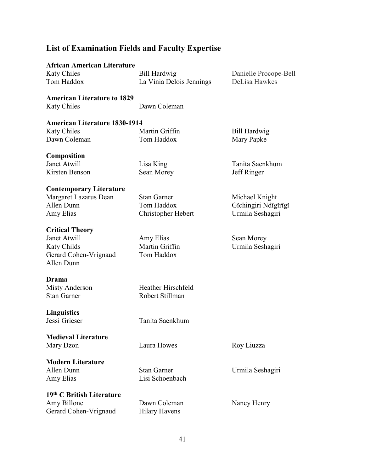# **List of Examination Fields and Faculty Expertise**

| <b>African American Literature</b>   |                          |                       |
|--------------------------------------|--------------------------|-----------------------|
| <b>Katy Chiles</b>                   | Bill Hardwig             | Danielle Procope-Bell |
| Tom Haddox                           | La Vinia Delois Jennings | DeLisa Hawkes         |
| <b>American Literature to 1829</b>   |                          |                       |
| <b>Katy Chiles</b>                   | Dawn Coleman             |                       |
| <b>American Literature 1830-1914</b> |                          |                       |
| <b>Katy Chiles</b>                   | Martin Griffin           | Bill Hardwig          |
| Dawn Coleman                         | Tom Haddox               | Mary Papke            |
| <b>Composition</b>                   |                          |                       |
| Janet Atwill                         | Lisa King                | Tanita Saenkhum       |
| Kirsten Benson                       | Sean Morey               | Jeff Ringer           |
| <b>Contemporary Literature</b>       |                          |                       |
| Margaret Lazarus Dean                | <b>Stan Garner</b>       | Michael Knight        |
| Allen Dunn                           | Tom Haddox               | Gichingiri Ndigirigi  |
| Amy Elias                            | Christopher Hebert       | Urmila Seshagiri      |
| <b>Critical Theory</b>               |                          |                       |
| Janet Atwill                         | Amy Elias                | Sean Morey            |
| Katy Childs                          | Martin Griffin           | Urmila Seshagiri      |
| Gerard Cohen-Vrignaud<br>Allen Dunn  | Tom Haddox               |                       |
| Drama                                |                          |                       |
| <b>Misty Anderson</b>                | Heather Hirschfeld       |                       |
| <b>Stan Garner</b>                   | Robert Stillman          |                       |
| <b>Linguistics</b>                   |                          |                       |
| Jessi Grieser                        | Tanita Saenkhum          |                       |
| <b>Medieval Literature</b>           |                          |                       |
| Mary Dzon                            | Laura Howes              | Roy Liuzza            |
| <b>Modern Literature</b>             |                          |                       |
| Allen Dunn                           | <b>Stan Garner</b>       | Urmila Seshagiri      |
| Amy Elias                            | Lisi Schoenbach          |                       |
| 19th C British Literature            |                          |                       |
| Amy Billone                          | Dawn Coleman             | Nancy Henry           |
| Gerard Cohen-Vrignaud                | <b>Hilary Havens</b>     |                       |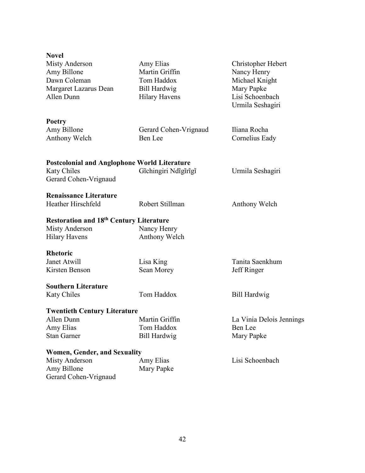| <b>Novel</b>                                        |                       |                          |
|-----------------------------------------------------|-----------------------|--------------------------|
| Misty Anderson                                      | Amy Elias             | Christopher Hebert       |
| Amy Billone                                         | Martin Griffin        | Nancy Henry              |
| Dawn Coleman                                        | Tom Haddox            | Michael Knight           |
| Margaret Lazarus Dean                               | <b>Bill Hardwig</b>   | Mary Papke               |
| Allen Dunn                                          | <b>Hilary Havens</b>  | Lisi Schoenbach          |
|                                                     |                       | Urmila Seshagiri         |
| <b>Poetry</b>                                       |                       |                          |
| Amy Billone                                         | Gerard Cohen-Vrignaud | Iliana Rocha             |
| Anthony Welch                                       | Ben Lee               | Cornelius Eady           |
|                                                     |                       |                          |
| <b>Postcolonial and Anglophone World Literature</b> |                       |                          |
| <b>Katy Chiles</b>                                  | Gichingiri Ndigirigi  | Urmila Seshagiri         |
| Gerard Cohen-Vrignaud                               |                       |                          |
|                                                     |                       |                          |
| <b>Renaissance Literature</b>                       |                       |                          |
| Heather Hirschfeld                                  | Robert Stillman       | Anthony Welch            |
| <b>Restoration and 18th Century Literature</b>      |                       |                          |
| Misty Anderson                                      | Nancy Henry           |                          |
| <b>Hilary Havens</b>                                | Anthony Welch         |                          |
| <b>Rhetoric</b>                                     |                       |                          |
| Janet Atwill                                        | Lisa King             | Tanita Saenkhum          |
| Kirsten Benson                                      | Sean Morey            | Jeff Ringer              |
|                                                     |                       |                          |
| <b>Southern Literature</b>                          |                       |                          |
| <b>Katy Chiles</b>                                  | Tom Haddox            | Bill Hardwig             |
| <b>Twentieth Century Literature</b>                 |                       |                          |
| Allen Dunn                                          | Martin Griffin        | La Vinia Delois Jennings |
| Amy Elias                                           | Tom Haddox            | Ben Lee                  |
| <b>Stan Garner</b>                                  | <b>Bill Hardwig</b>   | Mary Papke               |
| <b>Women, Gender, and Sexuality</b>                 |                       |                          |
| <b>Misty Anderson</b>                               | Amy Elias             | Lisi Schoenbach          |
| Amy Billone                                         | Mary Papke            |                          |
| Gerard Cohen-Vrignaud                               |                       |                          |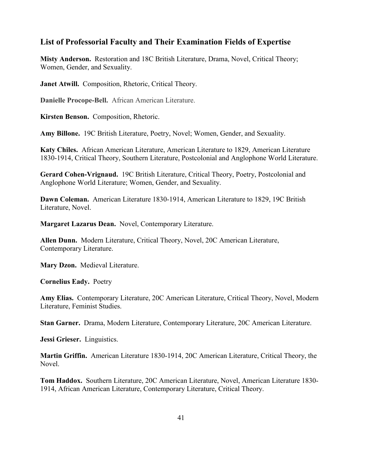#### **List of Professorial Faculty and Their Examination Fields of Expertise**

**Misty Anderson.** Restoration and 18C British Literature, Drama, Novel, Critical Theory; Women, Gender, and Sexuality.

**Janet Atwill.** Composition, Rhetoric, Critical Theory.

**Danielle Procope-Bell.** African American Literature.

**Kirsten Benson.** Composition, Rhetoric.

**Amy Billone.** 19C British Literature, Poetry, Novel; Women, Gender, and Sexuality.

**Katy Chiles.** African American Literature, American Literature to 1829, American Literature 1830-1914, Critical Theory, Southern Literature, Postcolonial and Anglophone World Literature.

**Gerard Cohen-Vrignaud.** 19C British Literature, Critical Theory, Poetry, Postcolonial and Anglophone World Literature; Women, Gender, and Sexuality.

**Dawn Coleman.** American Literature 1830-1914, American Literature to 1829, 19C British Literature, Novel.

**Margaret Lazarus Dean.** Novel, Contemporary Literature.

**Allen Dunn.** Modern Literature, Critical Theory, Novel, 20C American Literature, Contemporary Literature.

**Mary Dzon.** Medieval Literature.

**Cornelius Eady.** Poetry

**Amy Elias.** Contemporary Literature, 20C American Literature, Critical Theory, Novel, Modern Literature, Feminist Studies.

**Stan Garner.** Drama, Modern Literature, Contemporary Literature, 20C American Literature.

**Jessi Grieser.** Linguistics.

**Martin Griffin.** American Literature 1830-1914, 20C American Literature, Critical Theory, the Novel.

**Tom Haddox.** Southern Literature, 20C American Literature, Novel, American Literature 1830- 1914, African American Literature, Contemporary Literature, Critical Theory.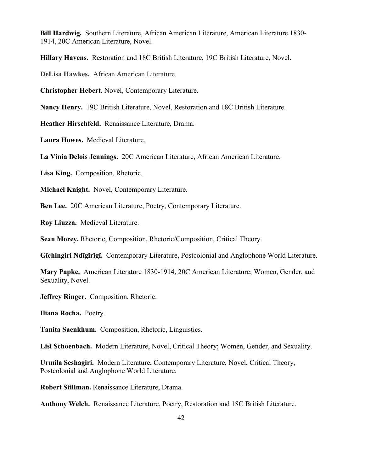**Bill Hardwig.** Southern Literature, African American Literature, American Literature 1830- 1914, 20C American Literature, Novel.

**Hillary Havens.** Restoration and 18C British Literature, 19C British Literature, Novel.

**DeLisa Hawkes.** African American Literature.

**Christopher Hebert.** Novel, Contemporary Literature.

**Nancy Henry.** 19C British Literature, Novel, Restoration and 18C British Literature.

**Heather Hirschfeld.** Renaissance Literature, Drama.

**Laura Howes.** Medieval Literature.

**La Vinia Delois Jennings.** 20C American Literature, African American Literature.

**Lisa King.** Composition, Rhetoric.

**Michael Knight.** Novel, Contemporary Literature.

**Ben Lee.** 20C American Literature, Poetry, Contemporary Literature.

**Roy Liuzza.** Medieval Literature.

**Sean Morey.** Rhetoric, Composition, Rhetoric/Composition, Critical Theory.

**Gĩchingiri Ndĩgĩrĩgĩ.** Contemporary Literature, Postcolonial and Anglophone World Literature.

**Mary Papke.** American Literature 1830-1914, 20C American Literature; Women, Gender, and Sexuality, Novel.

**Jeffrey Ringer.** Composition, Rhetoric.

**Iliana Rocha.** Poetry.

**Tanita Saenkhum.** Composition, Rhetoric, Linguistics.

**Lisi Schoenbach.** Modern Literature, Novel, Critical Theory; Women, Gender, and Sexuality.

**Urmila Seshagiri.** Modern Literature, Contemporary Literature, Novel, Critical Theory, Postcolonial and Anglophone World Literature.

**Robert Stillman.** Renaissance Literature, Drama.

**Anthony Welch.** Renaissance Literature, Poetry, Restoration and 18C British Literature.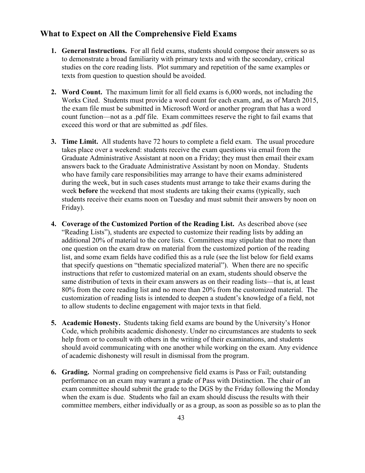#### **What to Expect on All the Comprehensive Field Exams**

- **1. General Instructions.** For all field exams, students should compose their answers so as to demonstrate a broad familiarity with primary texts and with the secondary, critical studies on the core reading lists. Plot summary and repetition of the same examples or texts from question to question should be avoided.
- **2. Word Count.** The maximum limit for all field exams is 6,000 words, not including the Works Cited. Students must provide a word count for each exam, and, as of March 2015, the exam file must be submitted in Microsoft Word or another program that has a word count function—not as a .pdf file. Exam committees reserve the right to fail exams that exceed this word or that are submitted as .pdf files.
- **3. Time Limit.** All students have 72 hours to complete a field exam. The usual procedure takes place over a weekend: students receive the exam questions via email from the Graduate Administrative Assistant at noon on a Friday; they must then email their exam answers back to the Graduate Administrative Assistant by noon on Monday. Students who have family care responsibilities may arrange to have their exams administered during the week, but in such cases students must arrange to take their exams during the week **before** the weekend that most students are taking their exams (typically, such students receive their exams noon on Tuesday and must submit their answers by noon on Friday).
- **4. Coverage of the Customized Portion of the Reading List.** As described above (see "Reading Lists"), students are expected to customize their reading lists by adding an additional 20% of material to the core lists. Committees may stipulate that no more than one question on the exam draw on material from the customized portion of the reading list, and some exam fields have codified this as a rule (see the list below for field exams that specify questions on "thematic specialized material"). When there are no specific instructions that refer to customized material on an exam, students should observe the same distribution of texts in their exam answers as on their reading lists—that is, at least 80% from the core reading list and no more than 20% from the customized material. The customization of reading lists is intended to deepen a student's knowledge of a field, not to allow students to decline engagement with major texts in that field.
- **5. Academic Honesty.** Students taking field exams are bound by the University's Honor Code, which prohibits academic dishonesty. Under no circumstances are students to seek help from or to consult with others in the writing of their examinations, and students should avoid communicating with one another while working on the exam. Any evidence of academic dishonesty will result in dismissal from the program.
- **6. Grading.** Normal grading on comprehensive field exams is Pass or Fail; outstanding performance on an exam may warrant a grade of Pass with Distinction. The chair of an exam committee should submit the grade to the DGS by the Friday following the Monday when the exam is due. Students who fail an exam should discuss the results with their committee members, either individually or as a group, as soon as possible so as to plan the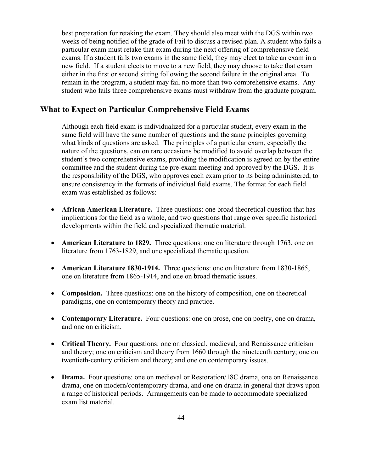best preparation for retaking the exam. They should also meet with the DGS within two weeks of being notified of the grade of Fail to discuss a revised plan. A student who fails a particular exam must retake that exam during the next offering of comprehensive field exams. If a student fails two exams in the same field, they may elect to take an exam in a new field. If a student elects to move to a new field, they may choose to take that exam either in the first or second sitting following the second failure in the original area. To remain in the program, a student may fail no more than two comprehensive exams. Any student who fails three comprehensive exams must withdraw from the graduate program.

#### **What to Expect on Particular Comprehensive Field Exams**

Although each field exam is individualized for a particular student, every exam in the same field will have the same number of questions and the same principles governing what kinds of questions are asked. The principles of a particular exam, especially the nature of the questions, can on rare occasions be modified to avoid overlap between the student's two comprehensive exams, providing the modification is agreed on by the entire committee and the student during the pre-exam meeting and approved by the DGS.It is the responsibility of the DGS, who approves each exam prior to its being administered, to ensure consistency in the formats of individual field exams. The format for each field exam was established as follows:

- **African American Literature.** Three questions: one broad theoretical question that has implications for the field as a whole, and two questions that range over specific historical developments within the field and specialized thematic material.
- **American Literature to 1829.** Three questions: one on literature through 1763, one on literature from 1763-1829, and one specialized thematic question.
- **American Literature 1830-1914.** Three questions: one on literature from 1830-1865, one on literature from 1865-1914, and one on broad thematic issues.
- **Composition.** Three questions: one on the history of composition, one on theoretical paradigms, one on contemporary theory and practice.
- **Contemporary Literature.** Four questions: one on prose, one on poetry, one on drama, and one on criticism.
- **Critical Theory.** Four questions: one on classical, medieval, and Renaissance criticism and theory; one on criticism and theory from 1660 through the nineteenth century; one on twentieth-century criticism and theory; and one on contemporary issues.
- **Drama.** Four questions: one on medieval or Restoration/18C drama, one on Renaissance drama, one on modern/contemporary drama, and one on drama in general that draws upon a range of historical periods. Arrangements can be made to accommodate specialized exam list material.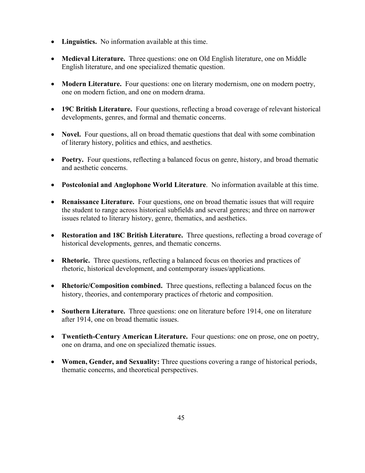- **Linguistics.** No information available at this time.
- **Medieval Literature.** Three questions: one on Old English literature, one on Middle English literature, and one specialized thematic question.
- **Modern Literature.** Four questions: one on literary modernism, one on modern poetry, one on modern fiction, and one on modern drama.
- **19C British Literature.** Four questions, reflecting a broad coverage of relevant historical developments, genres, and formal and thematic concerns.
- **Novel.** Four questions, all on broad thematic questions that deal with some combination of literary history, politics and ethics, and aesthetics.
- **Poetry.** Four questions, reflecting a balanced focus on genre, history, and broad thematic and aesthetic concerns.
- **Postcolonial and Anglophone World Literature**. No information available at this time.
- **Renaissance Literature.** Four questions, one on broad thematic issues that will require the student to range across historical subfields and several genres; and three on narrower issues related to literary history, genre, thematics, and aesthetics.
- **Restoration and 18C British Literature.** Three questions, reflecting a broad coverage of historical developments, genres, and thematic concerns.
- **Rhetoric.** Three questions, reflecting a balanced focus on theories and practices of rhetoric, historical development, and contemporary issues/applications.
- **Rhetoric/Composition combined.** Three questions, reflecting a balanced focus on the history, theories, and contemporary practices of rhetoric and composition.
- **Southern Literature.** Three questions: one on literature before 1914, one on literature after 1914, one on broad thematic issues.
- **Twentieth-Century American Literature.** Four questions: one on prose, one on poetry, one on drama, and one on specialized thematic issues.
- **Women, Gender, and Sexuality:** Three questions covering a range of historical periods, thematic concerns, and theoretical perspectives.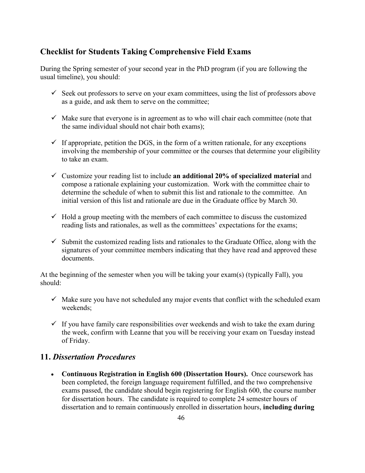#### **Checklist for Students Taking Comprehensive Field Exams**

During the Spring semester of your second year in the PhD program (if you are following the usual timeline), you should:

- $\checkmark$  Seek out professors to serve on your exam committees, using the list of professors above as a guide, and ask them to serve on the committee;
- $\checkmark$  Make sure that everyone is in agreement as to who will chair each committee (note that the same individual should not chair both exams);
- $\checkmark$  If appropriate, petition the DGS, in the form of a written rationale, for any exceptions involving the membership of your committee or the courses that determine your eligibility to take an exam.
- Customize your reading list to include **an additional 20% of specialized material** and compose a rationale explaining your customization. Work with the committee chair to determine the schedule of when to submit this list and rationale to the committee. An initial version of this list and rationale are due in the Graduate office by March 30.
- $\checkmark$  Hold a group meeting with the members of each committee to discuss the customized reading lists and rationales, as well as the committees' expectations for the exams;
- $\checkmark$  Submit the customized reading lists and rationales to the Graduate Office, along with the signatures of your committee members indicating that they have read and approved these documents.

At the beginning of the semester when you will be taking your exam(s) (typically Fall), you should:

- $\checkmark$  Make sure you have not scheduled any major events that conflict with the scheduled exam weekends;
- $\checkmark$  If you have family care responsibilities over weekends and wish to take the exam during the week, confirm with Leanne that you will be receiving your exam on Tuesday instead of Friday.

#### **11.** *Dissertation Procedures*

• **Continuous Registration in English 600 (Dissertation Hours).** Once coursework has been completed, the foreign language requirement fulfilled, and the two comprehensive exams passed, the candidate should begin registering for English 600, the course number for dissertation hours. The candidate is required to complete 24 semester hours of dissertation and to remain continuously enrolled in dissertation hours, **including during**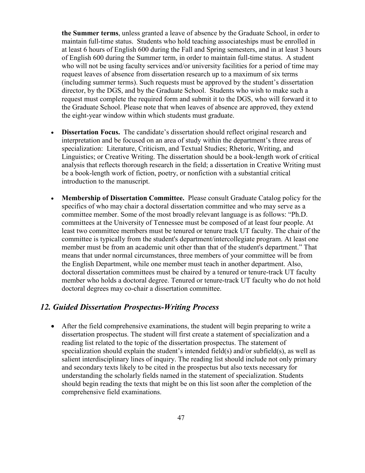**the Summer terms**, unless granted a leave of absence by the Graduate School, in order to maintain full-time status. Students who hold teaching associateships must be enrolled in at least 6 hours of English 600 during the Fall and Spring semesters, and in at least 3 hours of English 600 during the Summer term, in order to maintain full-time status. A student who will not be using faculty services and/or university facilities for a period of time may request leaves of absence from dissertation research up to a maximum of six terms (including summer terms). Such requests must be approved by the student's dissertation director, by the DGS, and by the Graduate School. Students who wish to make such a request must complete the required form and submit it to the DGS, who will forward it to the Graduate School. Please note that when leaves of absence are approved, they extend the eight-year window within which students must graduate.

- **Dissertation Focus.** The candidate's dissertation should reflect original research and interpretation and be focused on an area of study within the department's three areas of specialization: Literature, Criticism, and Textual Studies; Rhetoric, Writing, and Linguistics; or Creative Writing. The dissertation should be a book-length work of critical analysis that reflects thorough research in the field; a dissertation in Creative Writing must be a book-length work of fiction, poetry, or nonfiction with a substantial critical introduction to the manuscript.
- **Membership of Dissertation Committee.** Please consult Graduate Catalog policy for the specifics of who may chair a doctoral dissertation committee and who may serve as a committee member. Some of the most broadly relevant language is as follows: "Ph.D. committees at the University of Tennessee must be composed of at least four people. At least two committee members must be tenured or tenure track UT faculty. The chair of the committee is typically from the student's department/intercollegiate program. At least one member must be from an academic unit other than that of the student's department." That means that under normal circumstances, three members of your committee will be from the English Department, while one member must teach in another department. Also, doctoral dissertation committees must be chaired by a tenured or tenure-track UT faculty member who holds a doctoral degree. Tenured or tenure-track UT faculty who do not hold doctoral degrees may co-chair a dissertation committee.

#### *12. Guided Dissertation Prospectus-Writing Process*

• After the field comprehensive examinations, the student will begin preparing to write a dissertation prospectus. The student will first create a statement of specialization and a reading list related to the topic of the dissertation prospectus. The statement of specialization should explain the student's intended field(s) and/or subfield(s), as well as salient interdisciplinary lines of inquiry. The reading list should include not only primary and secondary texts likely to be cited in the prospectus but also texts necessary for understanding the scholarly fields named in the statement of specialization. Students should begin reading the texts that might be on this list soon after the completion of the comprehensive field examinations.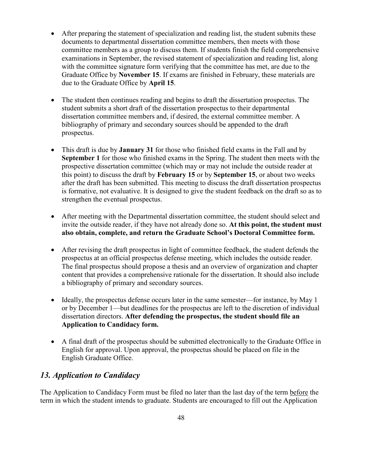- After preparing the statement of specialization and reading list, the student submits these documents to departmental dissertation committee members, then meets with those committee members as a group to discuss them. If students finish the field comprehensive examinations in September, the revised statement of specialization and reading list, along with the committee signature form verifying that the committee has met, are due to the Graduate Office by **November 15**. If exams are finished in February, these materials are due to the Graduate Office by **April 15**.
- The student then continues reading and begins to draft the dissertation prospectus. The student submits a short draft of the dissertation prospectus to their departmental dissertation committee members and, if desired, the external committee member. A bibliography of primary and secondary sources should be appended to the draft prospectus.
- This draft is due by **January 31** for those who finished field exams in the Fall and by **September 1** for those who finished exams in the Spring. The student then meets with the prospective dissertation committee (which may or may not include the outside reader at this point) to discuss the draft by **February 15** or by **September 15**, or about two weeks after the draft has been submitted. This meeting to discuss the draft dissertation prospectus is formative, not evaluative. It is designed to give the student feedback on the draft so as to strengthen the eventual prospectus.
- After meeting with the Departmental dissertation committee, the student should select and invite the outside reader, if they have not already done so. **At this point, the student must also obtain, complete, and return the Graduate School's Doctoral Committee form.**
- After revising the draft prospectus in light of committee feedback, the student defends the prospectus at an official prospectus defense meeting, which includes the outside reader. The final prospectus should propose a thesis and an overview of organization and chapter content that provides a comprehensive rationale for the dissertation. It should also include a bibliography of primary and secondary sources.
- Ideally, the prospectus defense occurs later in the same semester—for instance, by May 1 or by December 1—but deadlines for the prospectus are left to the discretion of individual dissertation directors. **After defending the prospectus, the student should file an Application to Candidacy form.**
- A final draft of the prospectus should be submitted electronically to the Graduate Office in English for approval. Upon approval, the prospectus should be placed on file in the English Graduate Office.

### *13. Application to Candidacy*

The Application to Candidacy Form must be filed no later than the last day of the term before the term in which the student intends to graduate. Students are encouraged to fill out the Application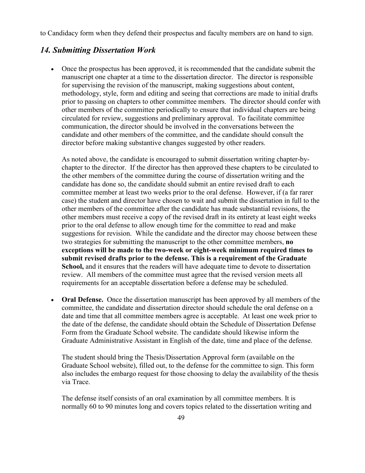to Candidacy form when they defend their prospectus and faculty members are on hand to sign.

## *14. Submitting Dissertation Work*

• Once the prospectus has been approved, it is recommended that the candidate submit the manuscript one chapter at a time to the dissertation director. The director is responsible for supervising the revision of the manuscript, making suggestions about content, methodology, style, form and editing and seeing that corrections are made to initial drafts prior to passing on chapters to other committee members. The director should confer with other members of the committee periodically to ensure that individual chapters are being circulated for review, suggestions and preliminary approval. To facilitate committee communication, the director should be involved in the conversations between the candidate and other members of the committee, and the candidate should consult the director before making substantive changes suggested by other readers.

As noted above, the candidate is encouraged to submit dissertation writing chapter-bychapter to the director. If the director has then approved these chapters to be circulated to the other members of the committee during the course of dissertation writing and the candidate has done so, the candidate should submit an entire revised draft to each committee member at least two weeks prior to the oral defense. However, if (a far rarer case) the student and director have chosen to wait and submit the dissertation in full to the other members of the committee after the candidate has made substantial revisions, the other members must receive a copy of the revised draft in its entirety at least eight weeks prior to the oral defense to allow enough time for the committee to read and make suggestions for revision. While the candidate and the director may choose between these two strategies for submitting the manuscript to the other committee members, **no exceptions will be made to the two-week or eight-week minimum required times to submit revised drafts prior to the defense. This is a requirement of the Graduate School,** and it ensures that the readers will have adequate time to devote to dissertation review. All members of the committee must agree that the revised version meets all requirements for an acceptable dissertation before a defense may be scheduled.

• **Oral Defense.** Once the dissertation manuscript has been approved by all members of the committee, the candidate and dissertation director should schedule the oral defense on a date and time that all committee members agree is acceptable. At least one week prior to the date of the defense, the candidate should obtain the Schedule of Dissertation Defense Form from the Graduate School website. The candidate should likewise inform the Graduate Administrative Assistant in English of the date, time and place of the defense.

The student should bring the Thesis/Dissertation Approval form (available on the Graduate School website), filled out, to the defense for the committee to sign. This form also includes the embargo request for those choosing to delay the availability of the thesis via Trace.

The defense itself consists of an oral examination by all committee members. It is normally 60 to 90 minutes long and covers topics related to the dissertation writing and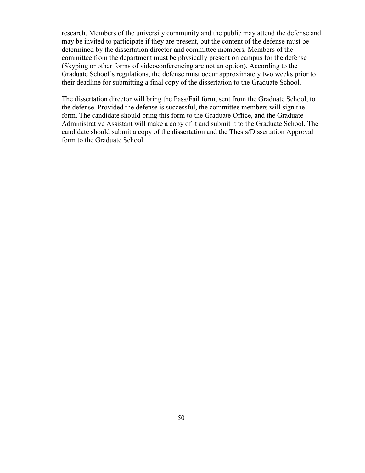research. Members of the university community and the public may attend the defense and may be invited to participate if they are present, but the content of the defense must be determined by the dissertation director and committee members. Members of the committee from the department must be physically present on campus for the defense (Skyping or other forms of videoconferencing are not an option). According to the Graduate School's regulations, the defense must occur approximately two weeks prior to their deadline for submitting a final copy of the dissertation to the Graduate School.

The dissertation director will bring the Pass/Fail form, sent from the Graduate School, to the defense. Provided the defense is successful, the committee members will sign the form. The candidate should bring this form to the Graduate Office, and the Graduate Administrative Assistant will make a copy of it and submit it to the Graduate School. The candidate should submit a copy of the dissertation and the Thesis/Dissertation Approval form to the Graduate School.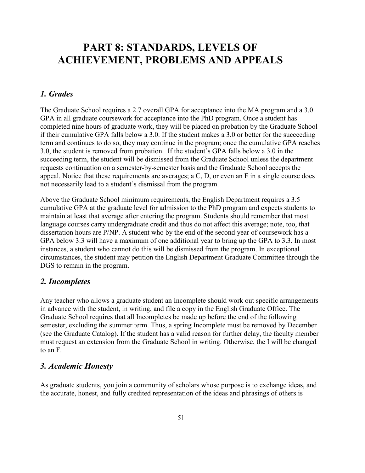## <span id="page-53-0"></span>**PART 8: STANDARDS, LEVELS OF ACHIEVEMENT, PROBLEMS AND APPEALS**

#### *1. Grades*

The Graduate School requires a 2.7 overall GPA for acceptance into the MA program and a 3.0 GPA in all graduate coursework for acceptance into the PhD program. Once a student has completed nine hours of graduate work, they will be placed on probation by the Graduate School if their cumulative GPA falls below a 3.0. If the student makes a 3.0 or better for the succeeding term and continues to do so, they may continue in the program; once the cumulative GPA reaches 3.0, the student is removed from probation. If the student's GPA falls below a 3.0 in the succeeding term, the student will be dismissed from the Graduate School unless the department requests continuation on a semester-by-semester basis and the Graduate School accepts the appeal. Notice that these requirements are averages; a C, D, or even an F in a single course does not necessarily lead to a student's dismissal from the program.

Above the Graduate School minimum requirements, the English Department requires a 3.5 cumulative GPA at the graduate level for admission to the PhD program and expects students to maintain at least that average after entering the program. Students should remember that most language courses carry undergraduate credit and thus do not affect this average; note, too, that dissertation hours are P/NP. A student who by the end of the second year of coursework has a GPA below 3.3 will have a maximum of one additional year to bring up the GPA to 3.3. In most instances, a student who cannot do this will be dismissed from the program. In exceptional circumstances, the student may petition the English Department Graduate Committee through the DGS to remain in the program.

#### *2. Incompletes*

Any teacher who allows a graduate student an Incomplete should work out specific arrangements in advance with the student, in writing, and file a copy in the English Graduate Office. The Graduate School requires that all Incompletes be made up before the end of the following semester, excluding the summer term. Thus, a spring Incomplete must be removed by December (see the Graduate Catalog). If the student has a valid reason for further delay, the faculty member must request an extension from the Graduate School in writing. Otherwise, the I will be changed to an F.

#### *3. Academic Honesty*

As graduate students, you join a community of scholars whose purpose is to exchange ideas, and the accurate, honest, and fully credited representation of the ideas and phrasings of others is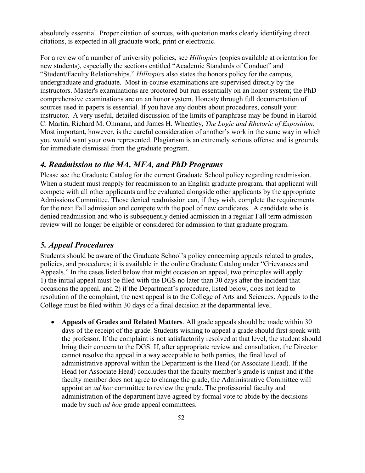absolutely essential. Proper citation of sources, with quotation marks clearly identifying direct citations, is expected in all graduate work, print or electronic.

For a review of a number of university policies, see *Hilltopics* (copies available at orientation for new students), especially the sections entitled "Academic Standards of Conduct" and "Student/Faculty Relationships." *Hilltopics* also states the honors policy for the campus, undergraduate and graduate. Most in-course examinations are supervised directly by the instructors. Master's examinations are proctored but run essentially on an honor system; the PhD comprehensive examinations are on an honor system. Honesty through full documentation of sources used in papers is essential. If you have any doubts about procedures, consult your instructor. A very useful, detailed discussion of the limits of paraphrase may be found in Harold C. Martin, Richard M. Ohmann, and James H. Wheatley, *The Logic and Rhetoric of Exposition*. Most important, however, is the careful consideration of another's work in the same way in which you would want your own represented. Plagiarism is an extremely serious offense and is grounds for immediate dismissal from the graduate program.

#### *4. Readmission to the MA, MFA, and PhD Programs*

Please see the Graduate Catalog for the current Graduate School policy regarding readmission. When a student must reapply for readmission to an English graduate program, that applicant will compete with all other applicants and be evaluated alongside other applicants by the appropriate Admissions Committee. Those denied readmission can, if they wish, complete the requirements for the next Fall admission and compete with the pool of new candidates. A candidate who is denied readmission and who is subsequently denied admission in a regular Fall term admission review will no longer be eligible or considered for admission to that graduate program.

#### *5. Appeal Procedures*

Students should be aware of the Graduate School's policy concerning appeals related to grades, policies, and procedures; it is available in the online Graduate Catalog under "Grievances and Appeals." In the cases listed below that might occasion an appeal, two principles will apply: 1) the initial appeal must be filed with the DGS no later than 30 days after the incident that occasions the appeal, and 2) if the Department's procedure, listed below, does not lead to resolution of the complaint, the next appeal is to the College of Arts and Sciences. Appeals to the College must be filed within 30 days of a final decision at the departmental level.

• **Appeals of Grades and Related Matters**. All grade appeals should be made within 30 days of the receipt of the grade. Students wishing to appeal a grade should first speak with the professor. If the complaint is not satisfactorily resolved at that level, the student should bring their concern to the DGS. If, after appropriate review and consultation, the Director cannot resolve the appeal in a way acceptable to both parties, the final level of administrative approval within the Department is the Head (or Associate Head). If the Head (or Associate Head) concludes that the faculty member's grade is unjust and if the faculty member does not agree to change the grade, the Administrative Committee will appoint an *ad hoc* committee to review the grade. The professorial faculty and administration of the department have agreed by formal vote to abide by the decisions made by such *ad hoc* grade appeal committees.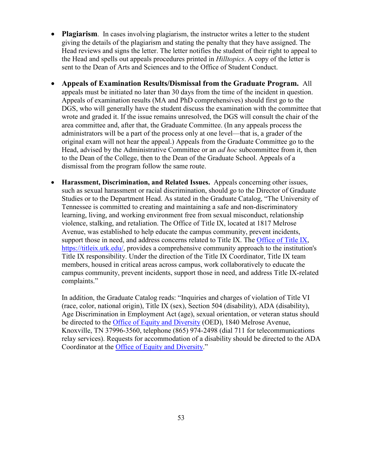- **Plagiarism.** In cases involving plagiarism, the instructor writes a letter to the student giving the details of the plagiarism and stating the penalty that they have assigned. The Head reviews and signs the letter. The letter notifies the student of their right to appeal to the Head and spells out appeals procedures printed in *Hilltopics*. A copy of the letter is sent to the Dean of Arts and Sciences and to the Office of Student Conduct.
- **Appeals of Examination Results/Dismissal from the Graduate Program.** All appeals must be initiated no later than 30 days from the time of the incident in question. Appeals of examination results (MA and PhD comprehensives) should first go to the DGS, who will generally have the student discuss the examination with the committee that wrote and graded it. If the issue remains unresolved, the DGS will consult the chair of the area committee and, after that, the Graduate Committee. (In any appeals process the administrators will be a part of the process only at one level—that is, a grader of the original exam will not hear the appeal.) Appeals from the Graduate Committee go to the Head, advised by the Administrative Committee or an *ad hoc* subcommittee from it, then to the Dean of the College, then to the Dean of the Graduate School. Appeals of a dismissal from the program follow the same route.
- **Harassment, Discrimination, and Related Issues.** Appeals concerning other issues, such as sexual harassment or racial discrimination, should go to the Director of Graduate Studies or to the Department Head. As stated in the Graduate Catalog, "The University of Tennessee is committed to creating and maintaining a safe and non-discriminatory learning, living, and working environment free from sexual misconduct, relationship violence, stalking, and retaliation. The Office of Title IX, located at 1817 Melrose Avenue, was established to help educate the campus community, prevent incidents, support those in need, and address concerns related to Title IX. The [Office of](https://titleix.utk.edu/) Title IX, [https://titleix.utk.edu/,](https://titleix.utk.edu/) provides a comprehensive community approach to the institution's Title IX responsibility. Under the direction of the Title IX Coordinator, Title IX team members, housed in critical areas across campus, work collaboratively to educate the campus community, prevent incidents, support those in need, and address Title IX-related complaints."

In addition, the Graduate Catalog reads: "Inquiries and charges of violation of Title VI (race, color, national origin), Title IX (sex), Section 504 (disability), ADA (disability), Age Discrimination in Employment Act (age), sexual orientation, or veteran status should be directed to the [Office of Equity and Diversity](https://oed.utk.edu/) (OED), 1840 Melrose Avenue, Knoxville, TN 37996-3560, telephone (865) 974-2498 (dial 711 for telecommunications relay services). Requests for accommodation of a disability should be directed to the ADA Coordinator at the [Office of Equity and Diversity.](https://oed.utk.edu/)"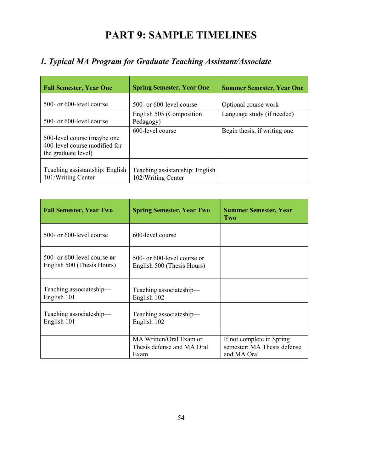# **PART 9: SAMPLE TIMELINES**

## <span id="page-56-0"></span>*1. Typical MA Program for Graduate Teaching Assistant/Associate*

| <b>Fall Semester, Year One</b>                                                       | <b>Spring Semester, Year One</b>                      | <b>Summer Semester, Year One</b> |
|--------------------------------------------------------------------------------------|-------------------------------------------------------|----------------------------------|
| 500- or 600-level course                                                             | 500- or 600-level course                              | Optional course work             |
| 500- or 600-level course                                                             | English 505 (Composition<br>Pedagogy)                 | Language study (if needed)       |
| 500-level course (maybe one)<br>400-level course modified for<br>the graduate level) | 600-level course                                      | Begin thesis, if writing one.    |
| Teaching assistantship: English<br>101/Writing Center                                | Teaching assistantship: English<br>102/Writing Center |                                  |

| <b>Fall Semester, Year Two</b>                                    | <b>Spring Semester, Year Two</b>                              | <b>Summer Semester, Year</b><br>Two                                     |
|-------------------------------------------------------------------|---------------------------------------------------------------|-------------------------------------------------------------------------|
| 500- or 600-level course                                          | 600-level course                                              |                                                                         |
| 500- or 600-level course $\alpha r$<br>English 500 (Thesis Hours) | 500- or 600-level course or<br>English 500 (Thesis Hours)     |                                                                         |
| Teaching associateship-<br>English 101                            | Teaching associateship-<br>English 102                        |                                                                         |
| Teaching associateship-<br>English 101                            | Teaching associateship-<br>English 102                        |                                                                         |
|                                                                   | MA Written/Oral Exam or<br>Thesis defense and MA Oral<br>Exam | If not complete in Spring<br>semester: MA Thesis defense<br>and MA Oral |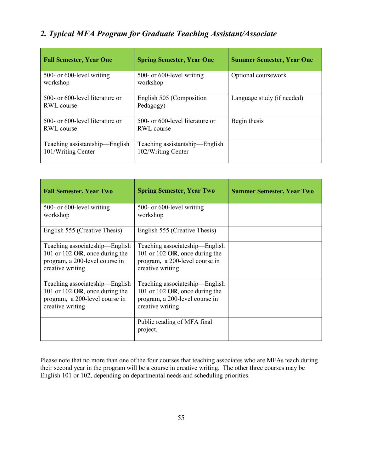## *2. Typical MFA Program for Graduate Teaching Assistant/Associate*

| <b>Fall Semester, Year One</b>                            | <b>Spring Semester, Year One</b>                     | <b>Summer Semester, Year One</b> |
|-----------------------------------------------------------|------------------------------------------------------|----------------------------------|
| 500- or 600-level writing<br>workshop                     | 500- or 600-level writing<br>workshop                | Optional coursework              |
| 500- or 600-level literature or<br>RWL course             | English 505 (Composition<br>Pedagogy)                | Language study (if needed)       |
| 500- or 600-level literature or<br>RWL course             | 500- or 600-level literature or<br>RWL course        | Begin thesis                     |
| Teaching assistantship-<br>-English<br>101/Writing Center | Teaching assistantship—English<br>102/Writing Center |                                  |

| <b>Fall Semester, Year Two</b>                                                                                            | <b>Spring Semester, Year Two</b>                                                                                          | <b>Summer Semester, Year Two</b> |
|---------------------------------------------------------------------------------------------------------------------------|---------------------------------------------------------------------------------------------------------------------------|----------------------------------|
| 500- or 600-level writing<br>workshop                                                                                     | 500- or 600-level writing<br>workshop                                                                                     |                                  |
| English 555 (Creative Thesis)                                                                                             | English 555 (Creative Thesis)                                                                                             |                                  |
| Teaching associateship—English<br>101 or 102 $OR$ , once during the<br>program, a 200-level course in<br>creative writing | Teaching associateship—English<br>101 or 102 $OR$ , once during the<br>program, a 200-level course in<br>creative writing |                                  |
| Teaching associateship—English<br>101 or 102 $OR$ , once during the<br>program, a 200-level course in<br>creative writing | Teaching associateship—English<br>101 or 102 $OR$ , once during the<br>program, a 200-level course in<br>creative writing |                                  |
|                                                                                                                           | Public reading of MFA final<br>project.                                                                                   |                                  |

Please note that no more than one of the four courses that teaching associates who are MFAs teach during their second year in the program will be a course in creative writing. The other three courses may be English 101 or 102, depending on departmental needs and scheduling priorities.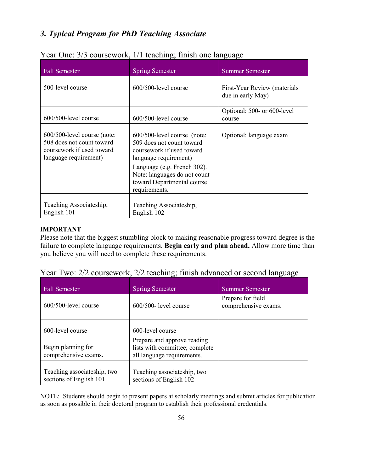## *3. Typical Program for PhD Teaching Associate*

| <b>Fall Semester</b>                                                                                           | <b>Spring Semester</b>                                                                                         | - ----------------<br><b>Summer Semester</b>      |
|----------------------------------------------------------------------------------------------------------------|----------------------------------------------------------------------------------------------------------------|---------------------------------------------------|
| 500-level course                                                                                               | $600/500$ -level course                                                                                        | First-Year Review (materials<br>due in early May) |
| 600/500-level course                                                                                           | 600/500-level course                                                                                           | Optional: 500- or 600-level<br>course             |
| 600/500-level course (note:<br>508 does not count toward<br>coursework if used toward<br>language requirement) | 600/500-level course (note:<br>509 does not count toward<br>coursework if used toward<br>language requirement) | Optional: language exam                           |
|                                                                                                                | Language (e.g. French 302).<br>Note: languages do not count<br>toward Departmental course<br>requirements.     |                                                   |
| Teaching Associateship,<br>English 101                                                                         | Teaching Associateship,<br>English 102                                                                         |                                                   |

#### Year One: 3/3 coursework, 1/1 teaching; finish one language

#### **IMPORTANT**

Please note that the biggest stumbling block to making reasonable progress toward degree is the failure to complete language requirements. **Begin early and plan ahead.** Allow more time than you believe you will need to complete these requirements.

|  | Year Two: 2/2 coursework, 2/2 teaching; finish advanced or second language |  |  |  |
|--|----------------------------------------------------------------------------|--|--|--|
|  |                                                                            |  |  |  |

| <b>Fall Semester</b>                                   | <b>Spring Semester</b>                                                                      | Summer Semester                           |
|--------------------------------------------------------|---------------------------------------------------------------------------------------------|-------------------------------------------|
| $600/500$ -level course                                | $600/500$ - level course                                                                    | Prepare for field<br>comprehensive exams. |
| 600-level course                                       | 600-level course                                                                            |                                           |
| Begin planning for<br>comprehensive exams.             | Prepare and approve reading<br>lists with committee; complete<br>all language requirements. |                                           |
| Teaching associateship, two<br>sections of English 101 | Teaching associateship, two<br>sections of English 102                                      |                                           |

NOTE: Students should begin to present papers at scholarly meetings and submit articles for publication as soon as possible in their doctoral program to establish their professional credentials.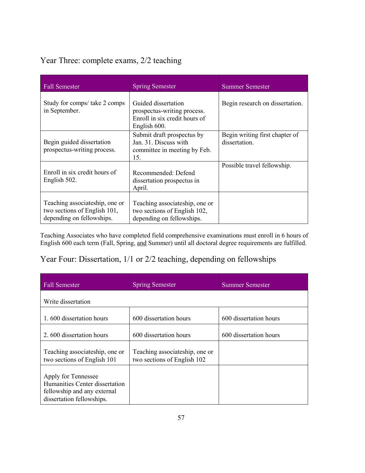## Year Three: complete exams, 2/2 teaching

| <b>Fall Semester</b>                                                                        | <b>Spring Semester</b>                                                                              | <b>Summer Semester</b>                          |
|---------------------------------------------------------------------------------------------|-----------------------------------------------------------------------------------------------------|-------------------------------------------------|
| Study for comps/ take 2 comps<br>in September.                                              | Guided dissertation<br>prospectus-writing process.<br>Enroll in six credit hours of<br>English 600. | Begin research on dissertation.                 |
| Begin guided dissertation<br>prospectus-writing process.                                    | Submit draft prospectus by<br>Jan. 31. Discuss with<br>committee in meeting by Feb.<br>15.          | Begin writing first chapter of<br>dissertation. |
| Enroll in six credit hours of<br>English 502.                                               | Recommended: Defend<br>dissertation prospectus in<br>April.                                         | Possible travel fellowship.                     |
| Teaching associateship, one or<br>two sections of English 101,<br>depending on fellowships. | Teaching associateship, one or<br>two sections of English 102,<br>depending on fellowships.         |                                                 |

Teaching Associates who have completed field comprehensive examinations must enroll in 6 hours of English 600 each term (Fall, Spring, and Summer) until all doctoral degree requirements are fulfilled.

## Year Four: Dissertation, 1/1 or 2/2 teaching, depending on fellowships

| <b>Fall Semester</b>                                                                                              | <b>Spring Semester</b>                                        | <b>Summer Semester</b> |  |
|-------------------------------------------------------------------------------------------------------------------|---------------------------------------------------------------|------------------------|--|
| Write dissertation                                                                                                |                                                               |                        |  |
| 1.600 dissertation hours                                                                                          | 600 dissertation hours                                        | 600 dissertation hours |  |
| 2.600 dissertation hours                                                                                          | 600 dissertation hours                                        | 600 dissertation hours |  |
| Teaching associateship, one or<br>two sections of English 101                                                     | Teaching associateship, one or<br>two sections of English 102 |                        |  |
| Apply for Tennessee<br>Humanities Center dissertation<br>fellowship and any external<br>dissertation fellowships. |                                                               |                        |  |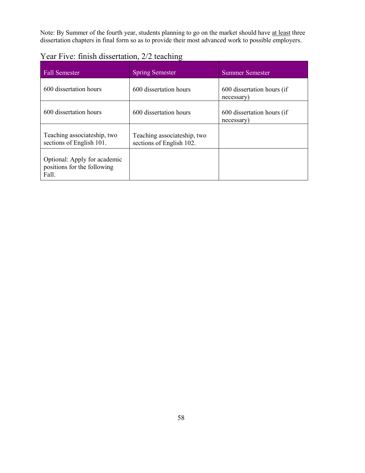Note: By Summer of the fourth year, students planning to go on the market should have at least three dissertation chapters in final form so as to provide their most advanced work to possible employers.

| Year Five: finish dissertation, 2/2 teaching |  |
|----------------------------------------------|--|
|----------------------------------------------|--|

| <b>Fall Semester</b>                                                 | <b>Spring Semester</b>                                  | <b>Summer Semester</b>                   |
|----------------------------------------------------------------------|---------------------------------------------------------|------------------------------------------|
| 600 dissertation hours                                               | 600 dissertation hours                                  | 600 dissertation hours (if<br>necessary) |
| 600 dissertation hours                                               | 600 dissertation hours                                  | 600 dissertation hours (if<br>necessary) |
| Teaching associateship, two<br>sections of English 101.              | Teaching associateship, two<br>sections of English 102. |                                          |
| Optional: Apply for academic<br>positions for the following<br>Fall. |                                                         |                                          |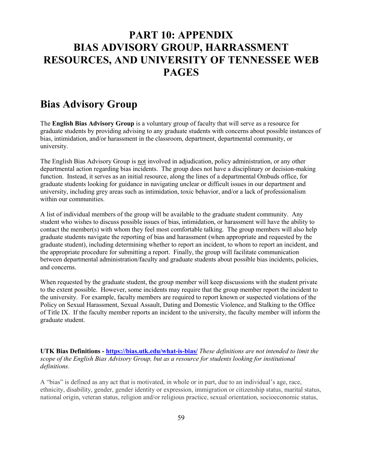## <span id="page-61-0"></span>**PART 10: APPENDIX BIAS ADVISORY GROUP, HARRASSMENT RESOURCES, AND UNIVERSITY OF TENNESSEE WEB PAGES**

## **Bias Advisory Group**

The **English Bias Advisory Group** is a voluntary group of faculty that will serve as a resource for graduate students by providing advising to any graduate students with concerns about possible instances of bias, intimidation, and/or harassment in the classroom, department, departmental community, or university.

The English Bias Advisory Group is not involved in adjudication, policy administration, or any other departmental action regarding bias incidents. The group does not have a disciplinary or decision-making function. Instead, it serves as an initial resource, along the lines of a departmental Ombuds office, for graduate students looking for guidance in navigating unclear or difficult issues in our department and university, including grey areas such as intimidation, toxic behavior, and/or a lack of professionalism within our communities.

A list of individual members of the group will be available to the graduate student community. Any student who wishes to discuss possible issues of bias, intimidation, or harassment will have the ability to contact the member(s) with whom they feel most comfortable talking. The group members will also help graduate students navigate the reporting of bias and harassment (when appropriate and requested by the graduate student), including determining whether to report an incident, to whom to report an incident, and the appropriate procedure for submitting a report. Finally, the group will facilitate communication between departmental administration/faculty and graduate students about possible bias incidents, policies, and concerns.

When requested by the graduate student, the group member will keep discussions with the student private to the extent possible. However, some incidents may require that the group member report the incident to the university. For example, faculty members are required to report known or suspected violations of the Policy on Sexual Harassment, Sexual Assault, Dating and Domestic Violence, and Stalking to the Office of Title IX. If the faculty member reports an incident to the university, the faculty member will inform the graduate student.

**UTK Bias Definitions - <https://bias.utk.edu/what-is-bias/>** *These definitions are not intended to limit the scope of the English Bias Advisory Group, but as a resource for students looking for institutional definitions.*

A "bias" is defined as any act that is motivated, in whole or in part, due to an individual's age, race, ethnicity, disability, gender, gender identity or expression, immigration or citizenship status, marital status, national origin, veteran status, religion and/or religious practice, sexual orientation, socioeconomic status,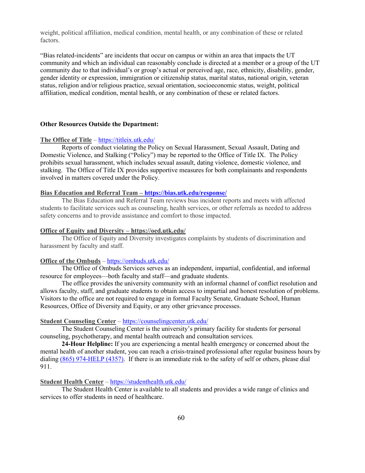weight, political affiliation, medical condition, mental health, or any combination of these or related factors.

"Bias related-incidents" are incidents that occur on campus or within an area that impacts the UT community and which an individual can reasonably conclude is directed at a member or a group of the UT community due to that individual's or group's actual or perceived age, race, ethnicity, disability, gender, gender identity or expression, immigration or citizenship status, marital status, national origin, veteran status, religion and/or religious practice, sexual orientation, socioeconomic status, weight, political affiliation, medical condition, mental health, or any combination of these or related factors.

#### **Other Resources Outside the Department:**

#### **The Office of Title** – <https://titleix.utk.edu/>

Reports of conduct violating the Policy on Sexual Harassment, Sexual Assault, Dating and Domestic Violence, and Stalking ("Policy") may be reported to the Office of Title IX. The Policy prohibits sexual harassment, which includes sexual assault, dating violence, domestic violence, and stalking. The Office of Title IX provides supportive measures for both complainants and respondents involved in matters covered under the Policy.

#### **Bias Education and Referral Team – <https://bias.utk.edu/response/>**

The Bias Education and Referral Team reviews bias incident reports and meets with affected students to facilitate services such as counseling, health services, or other referrals as needed to address safety concerns and to provide assistance and comfort to those impacted.

#### **Office of Equity and Diversity – https://oed.utk.edu/**

The Office of Equity and Diversity investigates complaints by students of discrimination and harassment by faculty and staff.

#### **Office of the Ombuds** – <https://ombuds.utk.edu/>

The Office of Ombuds Services serves as an independent, impartial, confidential, and informal resource for employees—both faculty and staff—and graduate students.

The office provides the university community with an informal channel of conflict resolution and allows faculty, staff, and graduate students to obtain access to impartial and honest resolution of problems. Visitors to the office are not required to engage in formal Faculty Senate, Graduate School, Human Resources, Office of Diversity and Equity, or any other grievance processes.

#### **Student Counseling Center** – <https://counselingcenter.utk.edu/>

The Student Counseling Center is the university's primary facility for students for personal counseling, psychotherapy, and mental health outreach and consultation services.

**24-Hour Helpline:** If you are experiencing a mental health emergency or concerned about the mental health of another student, you can reach a crisis-trained professional after regular business hours by dialing [\(865\) 974-HELP \(4357\).](tel:8659744357) If there is an immediate risk to the safety of self or others, please dial 911.

#### **Student Health Center** – <https://studenthealth.utk.edu/>

The Student Health Center is available to all students and provides a wide range of clinics and services to offer students in need of healthcare.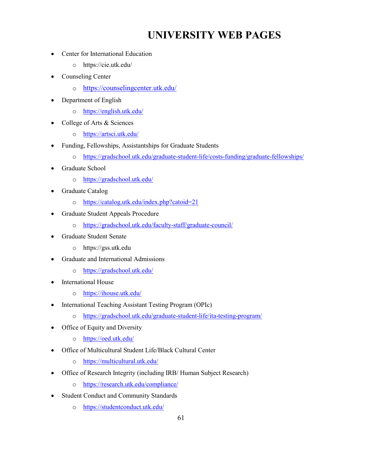## **UNIVERSITY WEB PAGES**

- Center for International Education
	- o https://cie.utk.edu/
- Counseling Center
	- o <https://counselingcenter.utk.edu/>
- Department of English
	- o <https://english.utk.edu/>
- College of Arts & Sciences
	- o <https://artsci.utk.edu/>
- Funding, Fellowships, Assistantships for Graduate Students
	- o <https://gradschool.utk.edu/graduate-student-life/costs-funding/graduate-fellowships/>
- Graduate School
	- o <https://gradschool.utk.edu/>
- Graduate Catalog
	- o <https://catalog.utk.edu/index.php?catoid=21>
- Graduate Student Appeals Procedure
	- o <https://gradschool.utk.edu/faculty-staff/graduate-council/>
- Graduate Student Senate
	- o https://gss.utk.edu
- Graduate and International Admissions
	- o <https://gradschool.utk.edu/>
- International House
	- o <https://ihouse.utk.edu/>
- International Teaching Assistant Testing Program (OPIc)
	- o <https://gradschool.utk.edu/graduate-student-life/ita-testing-program/>
- Office of Equity and Diversity
	- o <https://oed.utk.edu/>
- Office of Multicultural Student Life/Black Cultural Center
	- o <https://multicultural.utk.edu/>
- Office of Research Integrity (including IRB/ Human Subject Research)
	- o <https://research.utk.edu/compliance/>
- Student Conduct and Community Standards
	- o <https://studentconduct.utk.edu/>